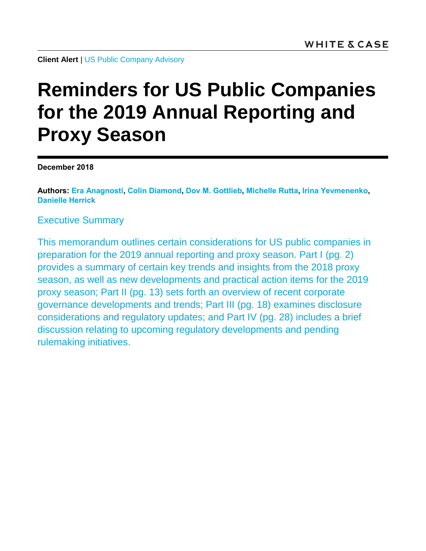**Client Alert** | [US Public Company Advisory](https://www.whitecase.com/law/practices/public-company-advisory-pca)

# **Reminders for US Public Companies for the 2019 Annual Reporting and Proxy Season**

**December 2018**

**Authors: [Era Anagnosti,](https://www.whitecase.com/people/era-anagnosti) [Colin Diamond,](https://www.whitecase.com/people/colin-diamond) [Dov M. Gottlieb,](https://www.whitecase.com/people/dov-gottlieb) [Michelle Rutta,](https://www.whitecase.com/people/michelle-rutta) [Irina Yevmenenko,](https://www.whitecase.com/people/irina-yevmenenko) [Danielle Herrick](https://www.whitecase.com/people/danielle-herrick)**

Executive Summary

This memorandum outlines certain considerations for US public companies in preparation for the 2019 annual reporting and proxy season. Part I (pg. 2) provides a summary of certain key trends and insights from the 2018 proxy season, as well as new developments and practical action items for the 2019 proxy season; Part II (pg. 13) sets forth an overview of recent corporate governance developments and trends; Part III (pg. 18) examines disclosure considerations and regulatory updates; and Part IV (pg. 28) includes a brief discussion relating to upcoming regulatory developments and pending rulemaking initiatives.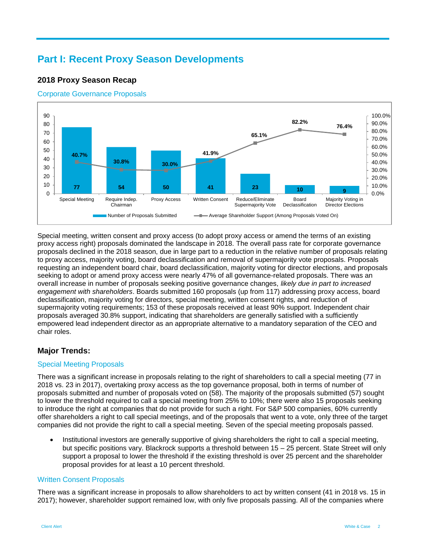# **Part I: Recent Proxy Season Developments**

# **2018 Proxy Season Recap**

#### Corporate Governance Proposals



Special meeting, written consent and proxy access (to adopt proxy access or amend the terms of an existing proxy access right) proposals dominated the landscape in 2018. The overall pass rate for corporate governance proposals declined in the 2018 season, due in large part to a reduction in the relative number of proposals relating to proxy access, majority voting, board declassification and removal of supermajority vote proposals. Proposals requesting an independent board chair, board declassification, majority voting for director elections, and proposals seeking to adopt or amend proxy access were nearly 47% of all governance-related proposals. There was an overall increase in number of proposals seeking positive governance changes, *likely due in part to increased engagement with shareholders*. Boards submitted 160 proposals (up from 117) addressing proxy access, board declassification, majority voting for directors, special meeting, written consent rights, and reduction of supermajority voting requirements; 153 of these proposals received at least 90% support. Independent chair proposals averaged 30.8% support, indicating that shareholders are generally satisfied with a sufficiently empowered lead independent director as an appropriate alternative to a mandatory separation of the CEO and chair roles.

# **Major Trends:**

#### Special Meeting Proposals

There was a significant increase in proposals relating to the right of shareholders to call a special meeting (77 in 2018 vs. 23 in 2017), overtaking proxy access as the top governance proposal, both in terms of number of proposals submitted and number of proposals voted on (58). The majority of the proposals submitted (57) sought to lower the threshold required to call a special meeting from 25% to 10%; there were also 15 proposals seeking to introduce the right at companies that do not provide for such a right. For S&P 500 companies, 60% currently offer shareholders a right to call special meetings, and of the proposals that went to a vote, only three of the target companies did not provide the right to call a special meeting. Seven of the special meeting proposals passed.

 Institutional investors are generally supportive of giving shareholders the right to call a special meeting, but specific positions vary. Blackrock supports a threshold between 15 – 25 percent. State Street will only support a proposal to lower the threshold if the existing threshold is over 25 percent and the shareholder proposal provides for at least a 10 percent threshold.

#### Written Consent Proposals

There was a significant increase in proposals to allow shareholders to act by written consent (41 in 2018 vs. 15 in 2017); however, shareholder support remained low, with only five proposals passing. All of the companies where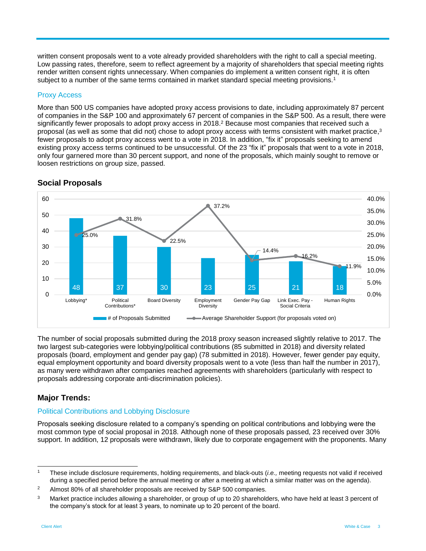written consent proposals went to a vote already provided shareholders with the right to call a special meeting. Low passing rates, therefore, seem to reflect agreement by a majority of shareholders that special meeting rights render written consent rights unnecessary. When companies do implement a written consent right, it is often subject to a number of the same terms contained in market standard special meeting provisions.<sup>1</sup>

#### Proxy Access

More than 500 US companies have adopted proxy access provisions to date, including approximately 87 percent of companies in the S&P 100 and approximately 67 percent of companies in the S&P 500. As a result, there were significantly fewer proposals to adopt proxy access in 2018.<sup>2</sup> Because most companies that received such a proposal (as well as some that did not) chose to adopt proxy access with terms consistent with market practice,<sup>3</sup> fewer proposals to adopt proxy access went to a vote in 2018. In addition, "fix it" proposals seeking to amend existing proxy access terms continued to be unsuccessful. Of the 23 "fix it" proposals that went to a vote in 2018, only four garnered more than 30 percent support, and none of the proposals, which mainly sought to remove or loosen restrictions on group size, passed.



#### **Social Proposals**

The number of social proposals submitted during the 2018 proxy season increased slightly relative to 2017. The two largest sub-categories were lobbying/political contributions (85 submitted in 2018) and diversity related proposals (board, employment and gender pay gap) (78 submitted in 2018). However, fewer gender pay equity, equal employment opportunity and board diversity proposals went to a vote (less than half the number in 2017), as many were withdrawn after companies reached agreements with shareholders (particularly with respect to proposals addressing corporate anti-discrimination policies).

# **Major Trends:**

# Political Contributions and Lobbying Disclosure

Proposals seeking disclosure related to a company's spending on political contributions and lobbying were the most common type of social proposal in 2018. Although none of these proposals passed, 23 received over 30% support. In addition, 12 proposals were withdrawn, likely due to corporate engagement with the proponents. Many

l <sup>1</sup> These include disclosure requirements, holding requirements, and black-outs (*i.e.,* meeting requests not valid if received during a specified period before the annual meeting or after a meeting at which a similar matter was on the agenda).

<sup>&</sup>lt;sup>2</sup> Almost 80% of all shareholder proposals are received by S&P 500 companies.

 $3$  Market practice includes allowing a shareholder, or group of up to 20 shareholders, who have held at least 3 percent of the company's stock for at least 3 years, to nominate up to 20 percent of the board.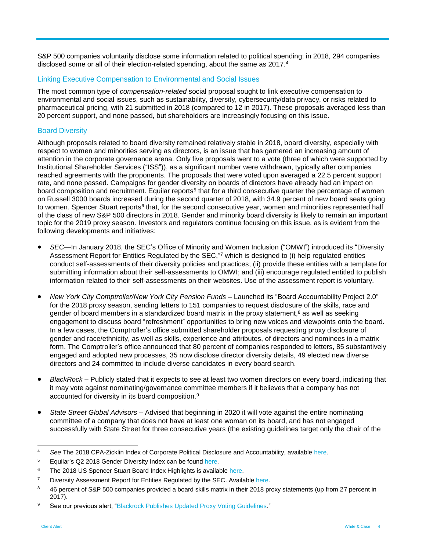S&P 500 companies voluntarily disclose some information related to political spending; in 2018, 294 companies disclosed some or all of their election-related spending, about the same as 2017.<sup>4</sup>

#### Linking Executive Compensation to Environmental and Social Issues

The most common type of *compensation-related* social proposal sought to link executive compensation to environmental and social issues, such as sustainability, diversity, cybersecurity/data privacy, or risks related to pharmaceutical pricing, with 21 submitted in 2018 (compared to 12 in 2017). These proposals averaged less than 20 percent support, and none passed, but shareholders are increasingly focusing on this issue.

#### Board Diversity

Although proposals related to board diversity remained relatively stable in 2018, board diversity, especially with respect to women and minorities serving as directors, is an issue that has garnered an increasing amount of attention in the corporate governance arena. Only five proposals went to a vote (three of which were supported by Institutional Shareholder Services ("ISS")), as a significant number were withdrawn, typically after companies reached agreements with the proponents. The proposals that were voted upon averaged a 22.5 percent support rate, and none passed. Campaigns for gender diversity on boards of directors have already had an impact on board composition and recruitment. Equilar reports<sup>5</sup> that for a third consecutive quarter the percentage of women on Russell 3000 boards increased during the second quarter of 2018, with 34.9 percent of new board seats going to women. Spencer Stuart reports<sup>6</sup> that, for the second consecutive year, women and minorities represented half of the class of new S&P 500 directors in 2018. Gender and minority board diversity is likely to remain an important topic for the 2019 proxy season. Investors and regulators continue focusing on this issue, as is evident from the following developments and initiatives:

- *SEC—*In January 2018, the SEC's Office of Minority and Women Inclusion ("OMWI") introduced its "Diversity Assessment Report for Entities Regulated by the SEC,"7 which is designed to (i) help regulated entities conduct self-assessments of their diversity policies and practices; (ii) provide these entities with a template for submitting information about their self-assessments to OMWI; and (iii) encourage regulated entitled to publish information related to their self-assessments on their websites. Use of the assessment report is voluntary.
- *New York City Comptroller/New York City Pension Funds* Launched its "Board Accountability Project 2.0" for the 2018 proxy season, sending letters to 151 companies to request disclosure of the skills, race and gender of board members in a standardized board matrix in the proxy statement,<sup>8</sup> as well as seeking engagement to discuss board "refreshment" opportunities to bring new voices and viewpoints onto the board. In a few cases, the Comptroller's office submitted shareholder proposals requesting proxy disclosure of gender and race/ethnicity, as well as skills, experience and attributes, of directors and nominees in a matrix form. The Comptroller's office announced that 80 percent of companies responded to letters, 85 substantively engaged and adopted new processes, 35 now disclose director diversity details, 49 elected new diverse directors and 24 committed to include diverse candidates in every board search.
- *BlackRock* Publicly stated that it expects to see at least two women directors on every board, indicating that it may vote against nominating/governance committee members if it believes that a company has not accounted for diversity in its board composition.<sup>9</sup>
- *State Street Global Advisors* Advised that beginning in 2020 it will vote against the entire nominating committee of a company that does not have at least one woman on its board, and has not engaged successfully with State Street for three consecutive years (the existing guidelines target only the chair of the

 $\lambda$ See The 2018 CPA-Zicklin Index of Corporate Political Disclosure and Accountability, available [here.](http://files.politicalaccountability.net/index/2018_CPA-Zicklin_Index_web.pdf)

<sup>&</sup>lt;sup>5</sup> Equilar's Q2 2018 Gender Diversity Index can be found [here.](https://www.equilar.com/reports/58-gender-diversity-index-q2-2018.html)

<sup>&</sup>lt;sup>6</sup> The 2018 US Spencer Stuart Board Index Highlights is available [here.](https://www.spencerstuart.com/-/media/2018/october/ssbi2018_summary.pdf)

<sup>&</sup>lt;sup>7</sup> Diversity Assessment Report for Entities Regulated by the SEC. Available [here.](https://www.sec.gov/files/OMWI-DAR-FORM.pdf)

<sup>&</sup>lt;sup>8</sup> 46 percent of S&P 500 companies provided a board skills matrix in their 2018 proxy statements (up from 27 percent in 2017).

<sup>9</sup> See our previous alert, ["Blackrock Publishes Updated Proxy Voting Guidelines."](https://www.whitecase.com/publications/alert/blackrock-publishes-updated-proxy-voting-guidelines)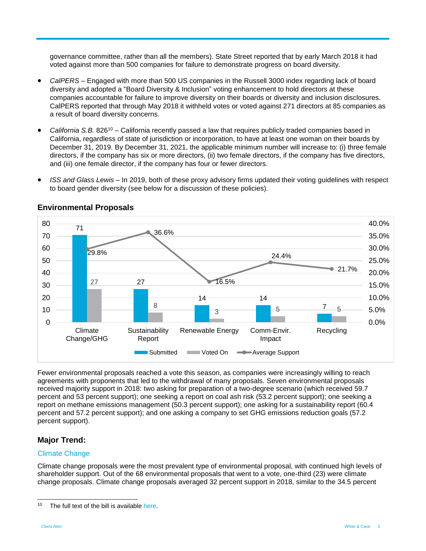governance committee, rather than all the members). State Street reported that by early March 2018 it had voted against more than 500 companies for failure to demonstrate progress on board diversity.

- *CalPERS* Engaged with more than 500 US companies in the Russell 3000 index regarding lack of board diversity and adopted a "Board Diversity & Inclusion" voting enhancement to hold directors at these companies accountable for failure to improve diversity on their boards or diversity and inclusion disclosures. CalPERS reported that through May 2018 it withheld votes or voted against 271 directors at 85 companies as a result of board diversity concerns.
- *California S.B.* 826<sup>10</sup> California recently passed a law that requires publicly traded companies based in California, regardless of state of jurisdiction or incorporation, to have at least one woman on their boards by December 31, 2019. By December 31, 2021, the applicable minimum number will increase to: (i) three female directors, if the company has six or more directors, (ii) two female directors, if the company has five directors, and (iii) one female director, if the company has four or fewer directors.
- *ISS and Glass Lewis –* In 2019, both of these proxy advisory firms updated their voting guidelines with respect to board gender diversity (see below for a discussion of these policies).



#### **Environmental Proposals**

Fewer environmental proposals reached a vote this season, as companies were increasingly willing to reach agreements with proponents that led to the withdrawal of many proposals. Seven environmental proposals received majority support in 2018: two asking for preparation of a two-degree scenario (which received 59.7 percent and 53 percent support); one seeking a report on coal ash risk (53.2 percent support); one seeking a report on methane emissions management (50.3 percent support); one asking for a sustainability report (60.4 percent and 57.2 percent support); and one asking a company to set GHG emissions reduction goals (57.2 percent support).

# **Major Trend:**

#### Climate Change

Climate change proposals were the most prevalent type of environmental proposal, with continued high levels of shareholder support. Out of the 68 environmental proposals that went to a vote, one-third (23) were climate change proposals. Climate change proposals averaged 32 percent support in 2018, similar to the 34.5 percent

 $10$ The full text of the bill is available [here.](https://leginfo.legislature.ca.gov/faces/billTextClient.xhtml?bill_id=201720180SB826)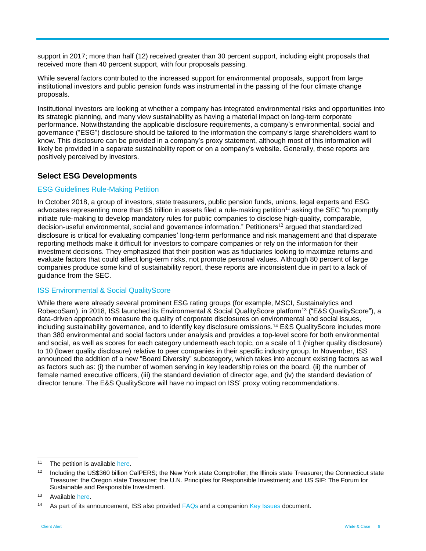support in 2017; more than half (12) received greater than 30 percent support, including eight proposals that received more than 40 percent support, with four proposals passing.

While several factors contributed to the increased support for environmental proposals, support from large institutional investors and public pension funds was instrumental in the passing of the four climate change proposals.

Institutional investors are looking at whether a company has integrated environmental risks and opportunities into its strategic planning, and many view sustainability as having a material impact on long-term corporate performance. Notwithstanding the applicable disclosure requirements, a company's environmental, social and governance ("ESG") disclosure should be tailored to the information the company's large shareholders want to know. This disclosure can be provided in a company's proxy statement, although most of this information will likely be provided in a separate sustainability report or on a company's website. Generally, these reports are positively perceived by investors.

### **Select ESG Developments**

#### ESG Guidelines Rule-Making Petition

In October 2018, a group of investors, state treasurers, public pension funds, unions, legal experts and ESG advocates representing more than \$5 trillion in assets filed a rule-making petition<sup>11</sup> asking the SEC "to promptly initiate rule-making to develop mandatory rules for public companies to disclose high-quality, comparable, decision-useful environmental, social and governance information." Petitioners<sup>12</sup> argued that standardized disclosure is critical for evaluating companies' long-term performance and risk management and that disparate reporting methods make it difficult for investors to compare companies or rely on the information for their investment decisions. They emphasized that their position was as fiduciaries looking to maximize returns and evaluate factors that could affect long-term risks, not promote personal values. Although 80 percent of large companies produce some kind of sustainability report, these reports are inconsistent due in part to a lack of guidance from the SEC.

#### ISS Environmental & Social QualityScore

While there were already several prominent ESG rating groups (for example, MSCI, Sustainalytics and RobecoSam), in 2018, ISS launched its Environmental & Social QualityScore platform<sup>13</sup> ("E&S QualityScore"), a data-driven approach to measure the quality of corporate disclosures on environmental and social issues, including sustainability governance, and to identify key disclosure omissions.<sup>14</sup> E&S QualityScore includes more than 380 environmental and social factors under analysis and provides a top-level score for both environmental and social, as well as scores for each category underneath each topic, on a scale of 1 (higher quality disclosure) to 10 (lower quality disclosure) relative to peer companies in their specific industry group. In November, ISS announced the addition of a new "Board Diversity" subcategory, which takes into account existing factors as well as factors such as: (i) the number of women serving in key leadership roles on the board, (ii) the number of female named executive officers, (iii) the standard deviation of director age, and (iv) the standard deviation of director tenure. The E&S QualityScore will have no impact on ISS' proxy voting recommendations.

 $11$ The petition is available [here.](https://www.sec.gov/rules/petitions/2018/petn4-730.pdf)

<sup>&</sup>lt;sup>12</sup> Including the US\$360 billion CalPERS; the New York state Comptroller; the Illinois state Treasurer; the Connecticut state Treasurer; the Oregon state Treasurer; the U.N. Principles for Responsible Investment; and US SIF: The Forum for Sustainable and Responsible Investment.

<sup>&</sup>lt;sup>13</sup> Available [here.](https://www.issgovernance.com/file/policy/latest/updates/Americas-Policy-Updates.pdf)

<sup>&</sup>lt;sup>14</sup> As part of its announcement, ISS also provided [FAQs](https://www.issgovernance.com/file/faq/Environmental-Social-QualityScore-FAQ.pdf) and a companion [Key Issues](https://www.issgovernance.com/file/faq/es-key-issues-discloure-transparency-qualityscore.pdf) document.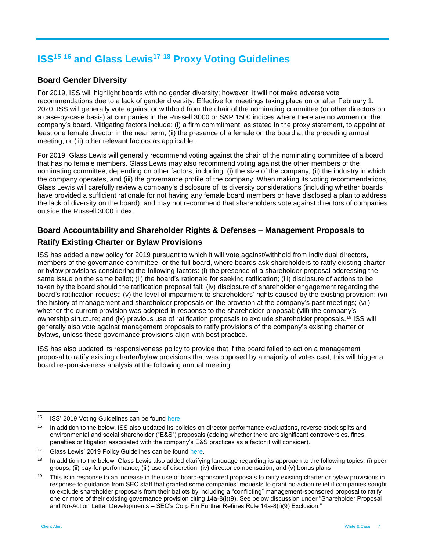# **ISS<sup>15</sup> <sup>16</sup> and Glass Lewis<sup>17</sup> <sup>18</sup> Proxy Voting Guidelines**

# **Board Gender Diversity**

For 2019, ISS will highlight boards with no gender diversity; however, it will not make adverse vote recommendations due to a lack of gender diversity. Effective for meetings taking place on or after February 1, 2020, ISS will generally vote against or withhold from the chair of the nominating committee (or other directors on a case-by-case basis) at companies in the Russell 3000 or S&P 1500 indices where there are no women on the company's board. Mitigating factors include: (i) a firm commitment, as stated in the proxy statement, to appoint at least one female director in the near term; (ii) the presence of a female on the board at the preceding annual meeting; or (iii) other relevant factors as applicable.

For 2019, Glass Lewis will generally recommend voting against the chair of the nominating committee of a board that has no female members. Glass Lewis may also recommend voting against the other members of the nominating committee, depending on other factors, including: (i) the size of the company, (ii) the industry in which the company operates, and (iii) the governance profile of the company. When making its voting recommendations, Glass Lewis will carefully review a company's disclosure of its diversity considerations (including whether boards have provided a sufficient rationale for not having any female board members or have disclosed a plan to address the lack of diversity on the board), and may not recommend that shareholders vote against directors of companies outside the Russell 3000 index.

# **Board Accountability and Shareholder Rights & Defenses – Management Proposals to Ratify Existing Charter or Bylaw Provisions**

ISS has added a new policy for 2019 pursuant to which it will vote against/withhold from individual directors, members of the governance committee, or the full board, where boards ask shareholders to ratify existing charter or bylaw provisions considering the following factors: (i) the presence of a shareholder proposal addressing the same issue on the same ballot; (ii) the board's rationale for seeking ratification; (iii) disclosure of actions to be taken by the board should the ratification proposal fail; (iv) disclosure of shareholder engagement regarding the board's ratification request; (v) the level of impairment to shareholders' rights caused by the existing provision; (vi) the history of management and shareholder proposals on the provision at the company's past meetings; (vii) whether the current provision was adopted in response to the shareholder proposal; (viii) the company's ownership structure; and (ix) previous use of ratification proposals to exclude shareholder proposals.<sup>19</sup> ISS will generally also vote against management proposals to ratify provisions of the company's existing charter or bylaws, unless these governance provisions align with best practice.

ISS has also updated its responsiveness policy to provide that if the board failed to act on a management proposal to ratify existing charter/bylaw provisions that was opposed by a majority of votes cast, this will trigger a board responsiveness analysis at the following annual meeting.

<sup>15</sup> ISS' 2019 Voting Guidelines can be found [here.](https://www.issgovernance.com/file/policy/latest/updates/Americas-Policy-Updates.pdf)

<sup>&</sup>lt;sup>16</sup> In addition to the below, ISS also updated its policies on director performance evaluations, reverse stock splits and environmental and social shareholder ("E&S") proposals (adding whether there are significant controversies, fines, penalties or litigation associated with the company's E&S practices as a factor it will consider).

<sup>&</sup>lt;sup>17</sup> Glass Lewis' 2019 Policy Guidelines can be found [here.](http://www.glasslewis.com/wp-content/uploads/2018/10/2019_GUIDELINES_UnitedStates.pdf)

<sup>&</sup>lt;sup>18</sup> In addition to the below, Glass Lewis also added clarifying language regarding its approach to the following topics: (i) peer groups, (ii) pay-for-performance, (iii) use of discretion, (iv) director compensation, and (v) bonus plans.

<sup>&</sup>lt;sup>19</sup> This is in response to an increase in the use of board-sponsored proposals to ratify existing charter or bylaw provisions in response to guidance from SEC staff that granted some companies' requests to grant no-action relief if companies sought to exclude shareholder proposals from their ballots by including a "conflicting" management-sponsored proposal to ratify one or more of their existing governance provision citing 14a-8(i)(9). See below discussion under "Shareholder Proposal and No-Action Letter Developments – SEC's Corp Fin Further Refines Rule 14a-8(i)(9) Exclusion."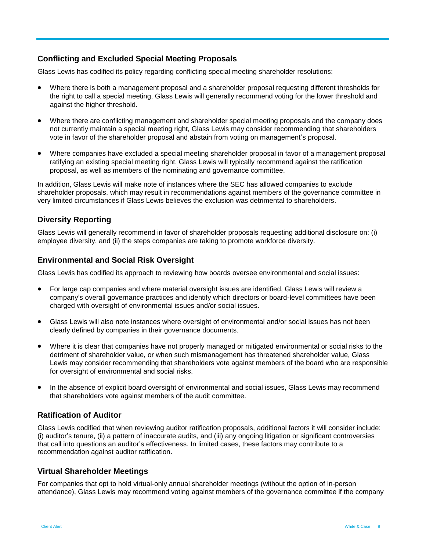# **Conflicting and Excluded Special Meeting Proposals**

Glass Lewis has codified its policy regarding conflicting special meeting shareholder resolutions:

- Where there is both a management proposal and a shareholder proposal requesting different thresholds for the right to call a special meeting, Glass Lewis will generally recommend voting for the lower threshold and against the higher threshold.
- Where there are conflicting management and shareholder special meeting proposals and the company does not currently maintain a special meeting right, Glass Lewis may consider recommending that shareholders vote in favor of the shareholder proposal and abstain from voting on management's proposal.
- Where companies have excluded a special meeting shareholder proposal in favor of a management proposal ratifying an existing special meeting right, Glass Lewis will typically recommend against the ratification proposal, as well as members of the nominating and governance committee.

In addition, Glass Lewis will make note of instances where the SEC has allowed companies to exclude shareholder proposals, which may result in recommendations against members of the governance committee in very limited circumstances if Glass Lewis believes the exclusion was detrimental to shareholders.

# **Diversity Reporting**

Glass Lewis will generally recommend in favor of shareholder proposals requesting additional disclosure on: (i) employee diversity, and (ii) the steps companies are taking to promote workforce diversity.

# **Environmental and Social Risk Oversight**

Glass Lewis has codified its approach to reviewing how boards oversee environmental and social issues:

- For large cap companies and where material oversight issues are identified, Glass Lewis will review a company's overall governance practices and identify which directors or board-level committees have been charged with oversight of environmental issues and/or social issues.
- Glass Lewis will also note instances where oversight of environmental and/or social issues has not been clearly defined by companies in their governance documents.
- Where it is clear that companies have not properly managed or mitigated environmental or social risks to the detriment of shareholder value, or when such mismanagement has threatened shareholder value, Glass Lewis may consider recommending that shareholders vote against members of the board who are responsible for oversight of environmental and social risks.
- In the absence of explicit board oversight of environmental and social issues, Glass Lewis may recommend that shareholders vote against members of the audit committee.

# **Ratification of Auditor**

Glass Lewis codified that when reviewing auditor ratification proposals, additional factors it will consider include: (i) auditor's tenure, (ii) a pattern of inaccurate audits, and (iii) any ongoing litigation or significant controversies that call into questions an auditor's effectiveness. In limited cases, these factors may contribute to a recommendation against auditor ratification.

#### **Virtual Shareholder Meetings**

For companies that opt to hold virtual-only annual shareholder meetings (without the option of in-person attendance), Glass Lewis may recommend voting against members of the governance committee if the company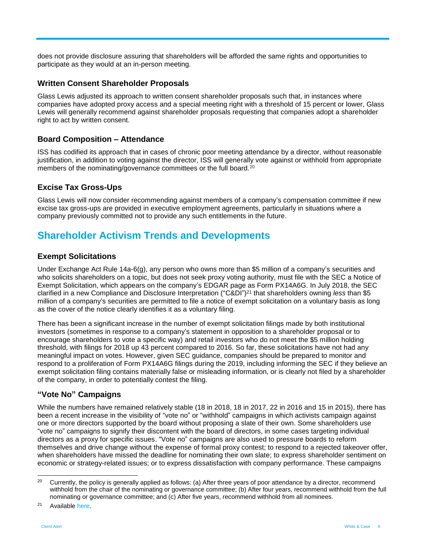does not provide disclosure assuring that shareholders will be afforded the same rights and opportunities to participate as they would at an in-person meeting.

#### **Written Consent Shareholder Proposals**

Glass Lewis adjusted its approach to written consent shareholder proposals such that, in instances where companies have adopted proxy access and a special meeting right with a threshold of 15 percent or lower, Glass Lewis will generally recommend against shareholder proposals requesting that companies adopt a shareholder right to act by written consent.

#### **Board Composition – Attendance**

ISS has codified its approach that in cases of chronic poor meeting attendance by a director, without reasonable justification, in addition to voting against the director, ISS will generally vote against or withhold from appropriate members of the nominating/governance committees or the full board.<sup>20</sup>

#### **Excise Tax Gross-Ups**

Glass Lewis will now consider recommending against members of a company's compensation committee if new excise tax gross-ups are provided in executive employment agreements, particularly in situations where a company previously committed not to provide any such entitlements in the future.

# **Shareholder Activism Trends and Developments**

#### **Exempt Solicitations**

Under Exchange Act Rule 14a-6(g), any person who owns more than \$5 million of a company's securities and who solicits shareholders on a topic, but does not seek proxy voting authority, must file with the SEC a Notice of Exempt Solicitation, which appears on the company's EDGAR page as Form PX14A6G. In July 2018, the SEC clarified in a new Compliance and Disclosure Interpretation ("C&DI") <sup>21</sup> that shareholders owning *less* than \$5 million of a company's securities are permitted to file a notice of exempt solicitation on a voluntary basis as long as the cover of the notice clearly identifies it as a voluntary filing.

There has been a significant increase in the number of exempt solicitation filings made by both institutional investors (sometimes in response to a company's statement in opposition to a shareholder proposal or to encourage shareholders to vote a specific way) and retail investors who do not meet the \$5 million holding threshold, with filings for 2018 up 43 percent compared to 2016. So far, these solicitations have not had any meaningful impact on votes. However, given SEC guidance, companies should be prepared to monitor and respond to a proliferation of Form PX14A6G filings during the 2019, including informing the SEC if they believe an exempt solicitation filing contains materially false or misleading information, or is clearly not filed by a shareholder of the company, in order to potentially contest the filing.

#### **"Vote No" Campaigns**

While the numbers have remained relatively stable (18 in 2018, 18 in 2017, 22 in 2016 and 15 in 2015), there has been a recent increase in the visibility of "vote no" or "withhold" campaigns in which activists campaign against one or more directors supported by the board without proposing a slate of their own. Some shareholders use "vote no" campaigns to signify their discontent with the board of directors, in some cases targeting individual directors as a proxy for specific issues. "Vote no" campaigns are also used to pressure boards to reform themselves and drive change without the expense of formal proxy contest; to respond to a rejected takeover offer, when shareholders have missed the deadline for nominating their own slate; to express shareholder sentiment on economic or strategy-related issues; or to express dissatisfaction with company performance. These campaigns

<sup>21</sup> Availabl[e here.](https://www.sec.gov/corpfin/proxy-rules-schedules-14a-14c-cdi#126)

<sup>&</sup>lt;sup>20</sup> Currently, the policy is generally applied as follows: (a) After three years of poor attendance by a director, recommend withhold from the chair of the nominating or governance committee; (b) After four years, recommend withhold from the full nominating or governance committee; and (c) After five years, recommend withhold from all nominees.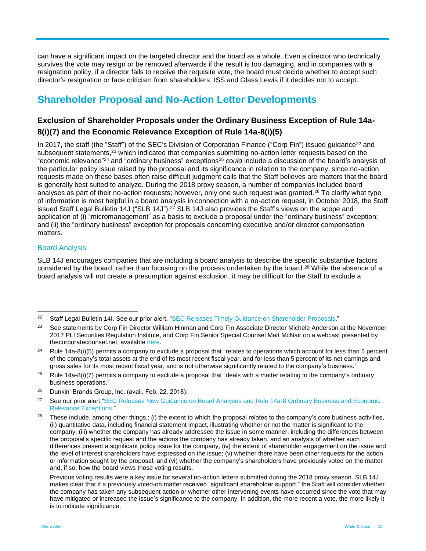can have a significant impact on the targeted director and the board as a whole. Even a director who technically survives the vote may resign or be removed afterwards if the result is too damaging, and in companies with a resignation policy, if a director fails to receive the requisite vote, the board must decide whether to accept such director's resignation or face criticism from shareholders, ISS and Glass Lewis if it decides not to accept.

# **Shareholder Proposal and No-Action Letter Developments**

# **Exclusion of Shareholder Proposals under the Ordinary Business Exception of Rule 14a-8(i)(7) and the Economic Relevance Exception of Rule 14a-8(i)(5)**

In 2017, the staff (the "Staff") of the SEC's Division of Corporation Finance ("Corp Fin") issued guidance<sup>22</sup> and subsequent statements,<sup>23</sup> which indicated that companies submitting no-action letter requests based on the "economic relevance" <sup>24</sup> and "ordinary business" exceptions<sup>25</sup> *could* include a discussion of the board's analysis of the particular policy issue raised by the proposal and its significance in relation to the company, since no-action requests made on these bases often raise difficult judgment calls that the Staff believes are matters that the board is generally best suited to analyze. During the 2018 proxy season, a number of companies included board analyses as part of their no-action requests; however, only one such request was granted.<sup>26</sup> To clarify what type of information is most helpful in a board analysis in connection with a no-action request, in October 2018, the Staff issued Staff Legal Bulletin 14J ("SLB 14J").<sup>27</sup> SLB 14J also provides the Staff's views on the scope and application of (i) "micromanagement" as a basis to exclude a proposal under the "ordinary business" exception; and (ii) the "ordinary business" exception for proposals concerning executive and/or director compensation matters.

#### Board Analysis

l

SLB 14J encourages companies that are including a board analysis to describe the specific substantive factors considered by the board, rather than focusing on the process undertaken by the board.<sup>28</sup> While the absence of a board analysis will not create a presumption against exclusion, it may be difficult for the Staff to exclude a

<sup>&</sup>lt;sup>22</sup> Staff Legal Bulletin 14I. See our prior alert, ["SEC Releases Timely Guidance on Shareholder Proposals.](https://www.whitecase.com/sites/whitecase/files/files/download/publications/sec-releases-timely-guidance-on-shareholder-proposals.pdf)"

<sup>&</sup>lt;sup>23</sup> See statements by Corp Fin Director William Hinman and Corp Fin Associate Director Michele Anderson at the November 2017 PLI Securities Regulation Institute, and Corp Fin Senior Special Counsel Matt McNair on a webcast presented by thecorporatecounsel.net, available [here.](https://www.thecorporatecounsel.net/member/Webcast/2017/11_14/transcript.htm)

<sup>&</sup>lt;sup>24</sup> Rule 14a-8(i)(5) permits a company to exclude a proposal that "relates to operations which account for less than 5 percent of the company's total assets at the end of its most recent fiscal year, and for less than 5 percent of its net earnings and gross sales for its most recent fiscal year, and is not otherwise significantly related to the company's business."

<sup>&</sup>lt;sup>25</sup> Rule 14a-8(i)(7) permits a company to exclude a proposal that "deals with a matter relating to the company's ordinary business operations."

<sup>26</sup> Dunkin' Brands Group, Inc. (avail. Feb. 22, 2018).

<sup>&</sup>lt;sup>27</sup> See our prior alert "SEC Releases New Guidance on Board Analyses and Rule 14a-8 Ordinary Business and Economic [Relevance Exceptions.](https://www.whitecase.com/publications/alert/sec-releases-new-guidance-board-analyses-and-rule-14a-8-ordinary-business-and)"

<sup>&</sup>lt;sup>28</sup> These include, among other things,: (i) the extent to which the proposal relates to the company's core business activities. (ii) quantitative data, including financial statement impact, illustrating whether or not the matter is significant to the company, (iii) whether the company has already addressed the issue in some manner, including the differences between the proposal's specific request and the actions the company has already taken, and an analysis of whether such differences present a significant policy issue for the company, (iv) the extent of shareholder engagement on the issue and the level of interest shareholders have expressed on the issue; (v) whether there have been other requests for the action or information sought by the proposal; and (vi) whether the company's shareholders have previously voted on the matter and, if so, how the board views those voting results.

Previous voting results were a key issue for several no-action letters submitted during the 2018 proxy season. SLB 14J makes clear that if a previously voted-on matter received "significant shareholder support," the Staff will consider whether the company has taken any subsequent action or whether other intervening events have occurred since the vote that may have mitigated or increased the issue's significance to the company. In addition, the more recent a vote, the more likely it is to indicate significance.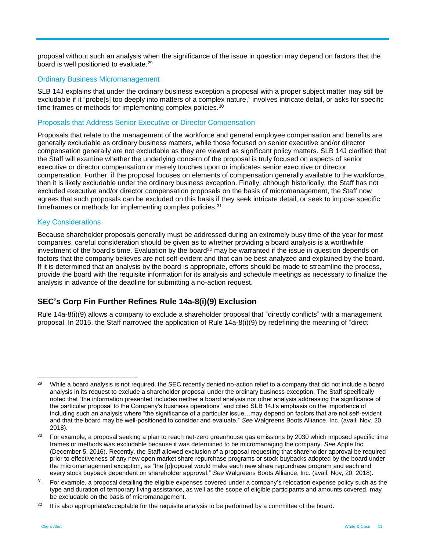proposal without such an analysis when the significance of the issue in question may depend on factors that the board is well positioned to evaluate.<sup>29</sup>

#### Ordinary Business Micromanagement

SLB 14J explains that under the ordinary business exception a proposal with a proper subject matter may still be excludable if it "probe[s] too deeply into matters of a complex nature," involves intricate detail, or asks for specific time frames or methods for implementing complex policies.<sup>30</sup>

#### Proposals that Address Senior Executive or Director Compensation

Proposals that relate to the management of the workforce and general employee compensation and benefits are generally excludable as ordinary business matters, while those focused on senior executive and/or director compensation generally are not excludable as they are viewed as significant policy matters. SLB 14J clarified that the Staff will examine whether the underlying concern of the proposal is truly focused on aspects of senior executive or director compensation or merely touches upon or implicates senior executive or director compensation. Further, if the proposal focuses on elements of compensation generally available to the workforce, then it is likely excludable under the ordinary business exception. Finally, although historically, the Staff has not excluded executive and/or director compensation proposals on the basis of micromanagement, the Staff now agrees that such proposals can be excluded on this basis if they seek intricate detail, or seek to impose specific timeframes or methods for implementing complex policies.<sup>31</sup>

#### Key Considerations

Because shareholder proposals generally must be addressed during an extremely busy time of the year for most companies, careful consideration should be given as to whether providing a board analysis is a worthwhile investment of the board's time. Evaluation by the board<sup>32</sup> may be warranted if the issue in question depends on factors that the company believes are not self-evident and that can be best analyzed and explained by the board. If it is determined that an analysis by the board is appropriate, efforts should be made to streamline the process, provide the board with the requisite information for its analysis and schedule meetings as necessary to finalize the analysis in advance of the deadline for submitting a no-action request.

#### **SEC's Corp Fin Further Refines Rule 14a-8(i)(9) Exclusion**

Rule 14a-8(i)(9) allows a company to exclude a shareholder proposal that "directly conflicts" with a management proposal. In 2015, the Staff narrowed the application of Rule 14a-8(i)(9) by redefining the meaning of "direct

 $29$ <sup>29</sup> While a board analysis is not required, the SEC recently denied no-action relief to a company that did not include a board analysis in its request to exclude a shareholder proposal under the ordinary business exception. The Staff specifically noted that "the information presented includes neither a board analysis nor other analysis addressing the significance of the particular proposal to the Company's business operations" and cited SLB 14J's emphasis on the importance of including such an analysis where "the significance of a particular issue…may depend on factors that are not self-evident and that the board may be well-positioned to consider and evaluate." *See* Walgreens Boots Alliance, Inc. (avail. Nov. 20, 2018).

<sup>&</sup>lt;sup>30</sup> For example, a proposal seeking a plan to reach net-zero greenhouse gas emissions by 2030 which imposed specific time frames or methods was excludable because it was determined to be micromanaging the company. *See* Apple Inc. (December 5, 2016). Recently, the Staff allowed exclusion of a proposal requesting that shareholder approval be required prior to effectiveness of any new open market share repurchase programs or stock buybacks adopted by the board under the micromanagement exception, as "the [p]roposal would make each new share repurchase program and each and every stock buyback dependent on shareholder approval." *See* Walgreens Boots Alliance, Inc. (avail. Nov, 20, 2018).

<sup>31</sup> For example, a proposal detailing the eligible expenses covered under a company's relocation expense policy such as the type and duration of temporary living assistance, as well as the scope of eligible participants and amounts covered, may be excludable on the basis of micromanagement.

<sup>&</sup>lt;sup>32</sup> It is also appropriate/acceptable for the requisite analysis to be performed by a committee of the board.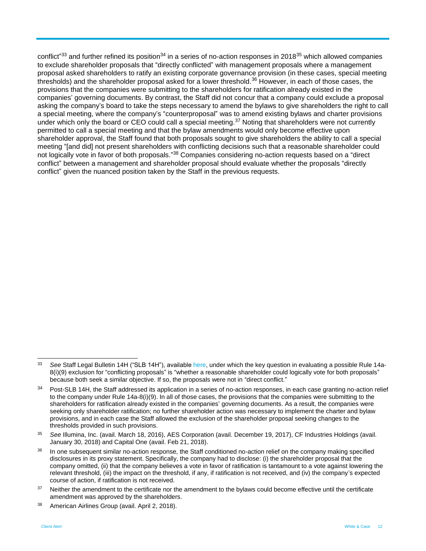conflict"<sup>33</sup> and further refined its position<sup>34</sup> in a series of no-action responses in 2018<sup>35</sup> which allowed companies to exclude shareholder proposals that "directly conflicted" with management proposals where a management proposal asked shareholders to ratify an existing corporate governance provision (in these cases, special meeting thresholds) and the shareholder proposal asked for a lower threshold.<sup>36</sup> However, in each of those cases, the provisions that the companies were submitting to the shareholders for ratification already existed in the companies' governing documents. By contrast, the Staff did not concur that a company could exclude a proposal asking the company's board to take the steps necessary to amend the bylaws to give shareholders the right to call a special meeting, where the company's "counterproposal" was to amend existing bylaws and charter provisions under which only the board or CEO could call a special meeting.<sup>37</sup> Noting that shareholders were not currently permitted to call a special meeting and that the bylaw amendments would only become effective upon shareholder approval, the Staff found that both proposals sought to give shareholders the ability to call a special meeting "[and did] not present shareholders with conflicting decisions such that a reasonable shareholder could not logically vote in favor of both proposals."<sup>38</sup> Companies considering no-action requests based on a "direct conflict" between a management and shareholder proposal should evaluate whether the proposals "directly conflict" given the nuanced position taken by the Staff in the previous requests.

<sup>33</sup> See Staff Legal Bulletin 14H ("SLB 14H"), available [here,](http://www.sec.gov/interps/legal/cfslb14h.htm) under which the key question in evaluating a possible Rule 14a-8(i)(9) exclusion for "conflicting proposals" is "whether a reasonable shareholder could logically vote for both proposals" because both seek a similar objective. If so, the proposals were not in "direct conflict."

<sup>34</sup> Post-SLB 14H, the Staff addressed its application in a series of no-action responses, in each case granting no-action relief to the company under Rule 14a-8(i)(9). In all of those cases, the provisions that the companies were submitting to the shareholders for ratification already existed in the companies' governing documents. As a result, the companies were seeking only shareholder ratification; no further shareholder action was necessary to implement the charter and bylaw provisions, and in each case the Staff allowed the exclusion of the shareholder proposal seeking changes to the thresholds provided in such provisions.

<sup>35</sup> *See* Illumina, Inc. (avail. March 18, 2016), AES Corporation (avail. December 19, 2017), CF Industries Holdings (avail. January 30, 2018) and Capital One (avail. Feb 21, 2018).

<sup>&</sup>lt;sup>36</sup> In one subsequent similar no-action response, the Staff conditioned no-action relief on the company making specified disclosures in its proxy statement. Specifically, the company had to disclose: (i) the shareholder proposal that the company omitted, (ii) that the company believes a vote in favor of ratification is tantamount to a vote against lowering the relevant threshold, (iii) the impact on the threshold, if any, if ratification is not received, and (iv) the company's expected course of action, if ratification is not received.

<sup>&</sup>lt;sup>37</sup> Neither the amendment to the certificate nor the amendment to the bylaws could become effective until the certificate amendment was approved by the shareholders.

<sup>38</sup> American Airlines Group (avail. April 2, 2018).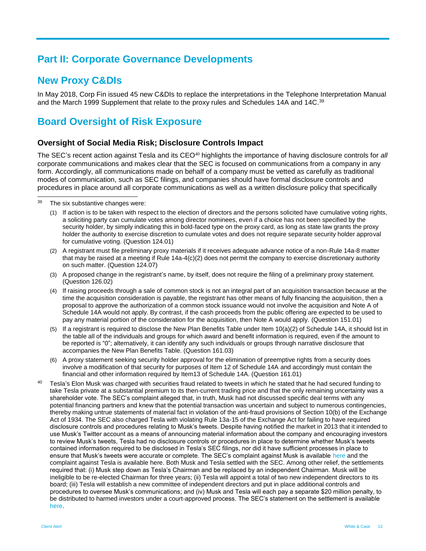# **Part II: Corporate Governance Developments**

# **New Proxy C&DIs**

In May 2018, Corp Fin issued 45 new C&DIs to replace the interpretations in the Telephone Interpretation Manual and the March 1999 Supplement that relate to the proxy rules and Schedules 14A and 14C.<sup>39</sup>

# **Board Oversight of Risk Exposure**

#### **Oversight of Social Media Risk; Disclosure Controls Impact**

The SEC's recent action against Tesla and its CEO<sup>40</sup> highlights the importance of having disclosure controls for all corporate communications and makes clear that the SEC is focused on communications from a company in any form. Accordingly, all communications made on behalf of a company must be vetted as carefully as traditional modes of communication, such as SEC filings, and companies should have formal disclosure controls and procedures in place around all corporate communications as well as a written disclosure policy that specifically

- (1) If action is to be taken with respect to the election of directors and the persons solicited have cumulative voting rights, a soliciting party can cumulate votes among director nominees, even if a choice has not been specified by the security holder, by simply indicating this in bold-faced type on the proxy card, as long as state law grants the proxy holder the authority to exercise discretion to cumulate votes and does not require separate security holder approval for cumulative voting. (Question 124.01)
- (2) A registrant must file preliminary proxy materials if it receives adequate advance notice of a non-Rule 14a-8 matter that may be raised at a meeting if Rule 14a-4(c)(2) does not permit the company to exercise discretionary authority on such matter. (Question 124.07)
- (3) A proposed change in the registrant's name, by itself, does not require the filing of a preliminary proxy statement. (Question 126.02)
- (4) If raising proceeds through a sale of common stock is not an integral part of an acquisition transaction because at the time the acquisition consideration is payable, the registrant has other means of fully financing the acquisition, then a proposal to approve the authorization of a common stock issuance would not involve the acquisition and Note A of Schedule 14A would not apply. By contrast, if the cash proceeds from the public offering are expected to be used to pay any material portion of the consideration for the acquisition, then Note A would apply. (Question 151.01)
- (5) If a registrant is required to disclose the New Plan Benefits Table under Item 10(a)(2) of Schedule 14A, it should list in the table all of the individuals and groups for which award and benefit information is required, even if the amount to be reported is "0"; alternatively, it can identify any such individuals or groups through narrative disclosure that accompanies the New Plan Benefits Table. (Question 161.03)
- (6) A proxy statement seeking security holder approval for the elimination of preemptive rights from a security does involve a modification of that security for purposes of Item 12 of Schedule 14A and accordingly must contain the financial and other information required by Item13 of Schedule 14A. (Question 161.01)
- <sup>40</sup> Tesla's Elon Musk was charged with securities fraud related to tweets in which he stated that he had secured funding to take Tesla private at a substantial premium to its then-current trading price and that the only remaining uncertainty was a shareholder vote. The SEC's complaint alleged that, in truth, Musk had not discussed specific deal terms with any potential financing partners and knew that the potential transaction was uncertain and subject to numerous contingencies, thereby making untrue statements of material fact in violation of the anti-fraud provisions of Section 10(b) of the Exchange Act of 1934. The SEC also charged Tesla with violating Rule 13a-15 of the Exchange Act for failing to have required disclosure controls and procedures relating to Musk's tweets. Despite having notified the market in 2013 that it intended to use Musk's Twitter account as a means of announcing material information about the company and encouraging investors to review Musk's tweets, Tesla had no disclosure controls or procedures in place to determine whether Musk's tweets contained information required to be disclosed in Tesla's SEC filings, nor did it have sufficient processes in place to ensure that Musk's tweets were accurate or complete. The SEC's complaint against Musk is available [here](https://www.sec.gov/litigation/complaints/2018/comp-pr2018-219.pdf) and the complaint against Tesla is available [here.](https://www.sec.gov/litigation/complaints/2018/comp-pr2018-226.pdf) Both Musk and Tesla settled with the SEC. Among other relief, the settlements required that: (i) Musk step down as Tesla's Chairman and be replaced by an independent Chairman. Musk will be ineligible to be re-elected Chairman for three years; (ii) Tesla will appoint a total of two new independent directors to its board; (iii) Tesla will establish a new committee of independent directors and put in place additional controls and procedures to oversee Musk's communications; and (iv) Musk and Tesla will each pay a separate \$20 million penalty, to be distributed to harmed investors under a court-approved process. The SEC's statement on the settlement is available [here.](https://www.sec.gov/news/press-release/2018-226)

 $\overline{a}$ The six substantive changes were: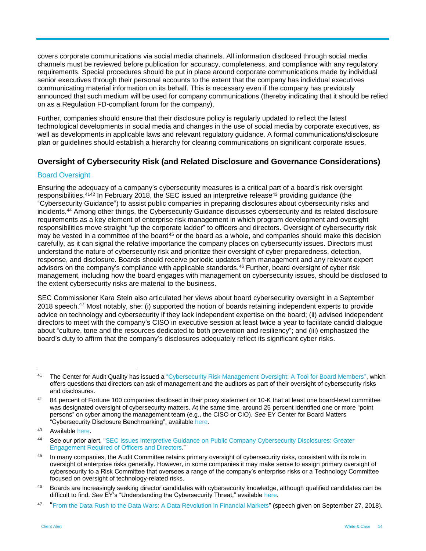covers corporate communications via social media channels. All information disclosed through social media channels must be reviewed before publication for accuracy, completeness, and compliance with any regulatory requirements. Special procedures should be put in place around corporate communications made by individual senior executives through their personal accounts to the extent that the company has individual executives communicating material information on its behalf. This is necessary even if the company has previously announced that such medium will be used for company communications (thereby indicating that it should be relied on as a Regulation FD-compliant forum for the company).

Further, companies should ensure that their disclosure policy is regularly updated to reflect the latest technological developments in social media and changes in the use of social media by corporate executives, as well as developments in applicable laws and relevant regulatory guidance. A formal communications/disclosure plan or guidelines should establish a hierarchy for clearing communications on significant corporate issues.

# **Oversight of Cybersecurity Risk (and Related Disclosure and Governance Considerations)**

#### Board Oversight

Ensuring the adequacy of a company's cybersecurity measures is a critical part of a board's risk oversight responsibilities.<sup>4142</sup> In February 2018, the SEC issued an interpretive release<sup>43</sup> providing guidance (the "Cybersecurity Guidance") to assist public companies in preparing disclosures about cybersecurity risks and incidents.<sup>44</sup> Among other things, the Cybersecurity Guidance discusses cybersecurity and its related disclosure requirements as a key element of enterprise risk management in which program development and oversight responsibilities move straight "up the corporate ladder" to officers and directors. Oversight of cybersecurity risk may be vested in a committee of the board<sup>45</sup> or the board as a whole, and companies should make this decision carefully, as it can signal the relative importance the company places on cybersecurity issues. Directors must understand the nature of cybersecurity risk and prioritize their oversight of cyber preparedness, detection, response, and disclosure. Boards should receive periodic updates from management and any relevant expert advisors on the company's compliance with applicable standards.<sup>46</sup> Further, board oversight of cyber risk management, including how the board engages with management on cybersecurity issues, should be disclosed to the extent cybersecurity risks are material to the business.

SEC Commissioner Kara Stein also articulated her views about board cybersecurity oversight in a September 2018 speech.<sup>47</sup> Most notably, she: (i) supported the notion of boards retaining independent experts to provide advice on technology and cybersecurity if they lack independent expertise on the board; (ii) advised independent directors to meet with the company's CISO in executive session at least twice a year to facilitate candid dialogue about "culture, tone and the resources dedicated to both prevention and resiliency"; and (iii) emphasized the board's duty to affirm that the company's disclosures adequately reflect its significant cyber risks.

 $41$ <sup>41</sup> The Center for Audit Quality has issued a ["Cybersecurity Risk Management Oversight: A Tool for Board Members",](https://www.thecaq.org/cybersecurity-risk-management-oversight-tool-board-members) which offers questions that directors can ask of management and the auditors as part of their oversight of cybersecurity risks and disclosures.

<sup>42</sup> 84 percent of Fortune 100 companies disclosed in their proxy statement or 10-K that at least one board-level committee was designated oversight of cybersecurity matters. At the same time, around 25 percent identified one or more "point persons" on cyber among the management team (e.g., the CISO or CIO). *See* EY Center for Board Matters "Cybersecurity Disclosure Benchmarking", availabl[e here](https://www.thecorporatecounsel.net/member/Memos/EY/10_18_cyber.pdf).

<sup>43</sup> Availabl[e here.](https://www.sec.gov/rules/interp/2018/33-10459.pdf)

<sup>44</sup> See our prior alert, "SEC Issues Interpretive Guidance on Public Company Cybersecurity Disclosures: Greater [Engagement Required of Officers and Directors.](https://www.whitecase.com/publications/alert/sec-issues-interpretive-guidance-public-company-cybersecurity-disclosures-greater)"

<sup>45</sup> In many companies, the Audit Committee retains primary oversight of cybersecurity risks, consistent with its role in oversight of enterprise risks generally. However, in some companies it may make sense to assign primary oversight of cybersecurity to a Risk Committee that oversees a range of the company's enterprise risks or a Technology Committee focused on oversight of technology-related risks.

<sup>&</sup>lt;sup>46</sup> Boards are increasingly seeking director candidates with cybersecurity knowledge, although qualified candidates can be difficult to find. *See* EY's "Understanding the Cybersecurity Threat," available [here.](https://www.ey.com/Publication/vwLUAssets/ey-understanding-the-cybersecurity/$FILE/ey-understanding-the-cybersecurity.pdf)

<sup>47</sup> "[From the Data Rush to the Data Wars: A Data Revolution in Financial Markets"](http://scsgp.informz.net/z/cjUucD9taT03MDg4NTA4JnA9MSZ1PTg3NTY4MTU3NCZsaT01MzMzODY4Ng/index.html) (speech given on September 27, 2018).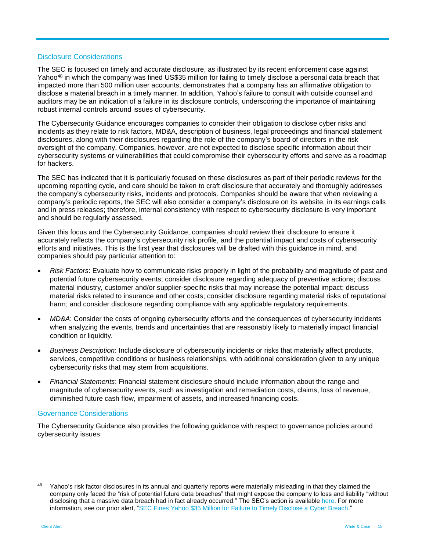#### Disclosure Considerations

The SEC is focused on timely and accurate disclosure, as illustrated by its recent enforcement case against Yahoo<sup>48</sup> in which the company was fined US\$35 million for failing to timely disclose a personal data breach that impacted more than 500 million user accounts, demonstrates that a company has an affirmative obligation to disclose a material breach in a timely manner. In addition, Yahoo's failure to consult with outside counsel and auditors may be an indication of a failure in its disclosure controls, underscoring the importance of maintaining robust internal controls around issues of cybersecurity.

The Cybersecurity Guidance encourages companies to consider their obligation to disclose cyber risks and incidents as they relate to risk factors, MD&A, description of business, legal proceedings and financial statement disclosures, along with their disclosures regarding the role of the company's board of directors in the risk oversight of the company. Companies, however, are not expected to disclose specific information about their cybersecurity systems or vulnerabilities that could compromise their cybersecurity efforts and serve as a roadmap for hackers.

The SEC has indicated that it is particularly focused on these disclosures as part of their periodic reviews for the upcoming reporting cycle, and care should be taken to craft disclosure that accurately and thoroughly addresses the company's cybersecurity risks, incidents and protocols. Companies should be aware that when reviewing a company's periodic reports, the SEC will also consider a company's disclosure on its website, in its earnings calls and in press releases; therefore, internal consistency with respect to cybersecurity disclosure is very important and should be regularly assessed.

Given this focus and the Cybersecurity Guidance, companies should review their disclosure to ensure it accurately reflects the company's cybersecurity risk profile, and the potential impact and costs of cybersecurity efforts and initiatives. This is the first year that disclosures will be drafted with this guidance in mind, and companies should pay particular attention to:

- *Risk Factors*: Evaluate how to communicate risks properly in light of the probability and magnitude of past and potential future cybersecurity events; consider disclosure regarding adequacy of preventive actions; discuss material industry, customer and/or supplier-specific risks that may increase the potential impact; discuss material risks related to insurance and other costs; consider disclosure regarding material risks of reputational harm; and consider disclosure regarding compliance with any applicable regulatory requirements.
- *MD&A*: Consider the costs of ongoing cybersecurity efforts and the consequences of cybersecurity incidents when analyzing the events, trends and uncertainties that are reasonably likely to materially impact financial condition or liquidity.
- *Business Description*: Include disclosure of cybersecurity incidents or risks that materially affect products, services, competitive conditions or business relationships, with additional consideration given to any unique cybersecurity risks that may stem from acquisitions.
- *Financial Statements*: Financial statement disclosure should include information about the range and magnitude of cybersecurity events, such as investigation and remediation costs, claims, loss of revenue, diminished future cash flow, impairment of assets, and increased financing costs.

#### Governance Considerations

The Cybersecurity Guidance also provides the following guidance with respect to governance policies around cybersecurity issues:

<sup>48</sup> Yahoo's risk factor disclosures in its annual and quarterly reports were materially misleading in that they claimed the company only faced the "risk of potential future data breaches" that might expose the company to loss and liability "without disclosing that a massive data breach had in fact already occurred." The SEC's action is availabl[e here.](https://www.sec.gov/litigation/admin/2018/33-10485.pdf) For more information, see our prior alert, ["SEC Fines Yahoo \\$35 Million for Failure to Timely Disclose a Cyber Breach.](https://www.whitecase.com/publications/alert/sec-fines-yahoo-35-million-failure-timely-disclose-cyber-breach)"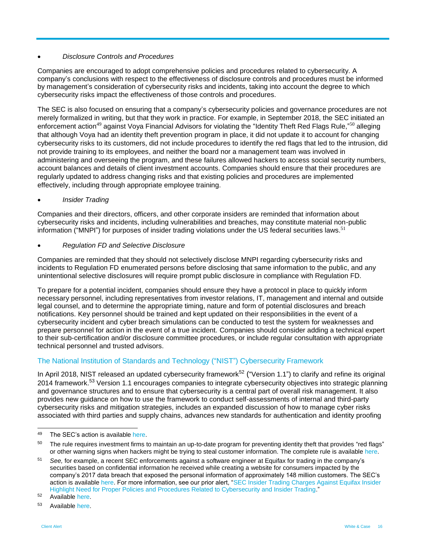#### *Disclosure Controls and Procedures*

Companies are encouraged to adopt comprehensive policies and procedures related to cybersecurity. A company's conclusions with respect to the effectiveness of disclosure controls and procedures must be informed by management's consideration of cybersecurity risks and incidents, taking into account the degree to which cybersecurity risks impact the effectiveness of those controls and procedures.

The SEC is also focused on ensuring that a company's cybersecurity policies and governance procedures are not merely formalized in writing, but that they work in practice. For example, in September 2018, the SEC initiated an enforcement action<sup>49</sup> against Voya Financial Advisors for violating the "Identity Theft Red Flags Rule,"<sup>50</sup> alleging that although Voya had an identity theft prevention program in place, it did not update it to account for changing cybersecurity risks to its customers, did not include procedures to identify the red flags that led to the intrusion, did not provide training to its employees, and neither the board nor a management team was involved in administering and overseeing the program, and these failures allowed hackers to access social security numbers, account balances and details of client investment accounts. Companies should ensure that their procedures are regularly updated to address changing risks and that existing policies and procedures are implemented effectively, including through appropriate employee training.

#### *Insider Trading*

Companies and their directors, officers, and other corporate insiders are reminded that information about cybersecurity risks and incidents, including vulnerabilities and breaches, may constitute material non-public information ("MNPI") for purposes of insider trading violations under the US federal securities laws.<sup>51</sup>

#### *Regulation FD and Selective Disclosure*

Companies are reminded that they should not selectively disclose MNPI regarding cybersecurity risks and incidents to Regulation FD enumerated persons before disclosing that same information to the public, and any unintentional selective disclosures will require prompt public disclosure in compliance with Regulation FD.

To prepare for a potential incident, companies should ensure they have a protocol in place to quickly inform necessary personnel, including representatives from investor relations, IT, management and internal and outside legal counsel, and to determine the appropriate timing, nature and form of potential disclosures and breach notifications. Key personnel should be trained and kept updated on their responsibilities in the event of a cybersecurity incident and cyber breach simulations can be conducted to test the system for weaknesses and prepare personnel for action in the event of a true incident. Companies should consider adding a technical expert to their sub-certification and/or disclosure committee procedures, or include regular consultation with appropriate technical personnel and trusted advisors.

# The National Institution of Standards and Technology ("NIST") Cybersecurity Framework

In April 2018, NIST released an updated cybersecurity framework<sup>52</sup> ("Version 1.1") to clarify and refine its original 2014 framework.<sup>53</sup> Version 1.1 encourages companies to integrate cybersecurity objectives into strategic planning and governance structures and to ensure that cybersecurity is a central part of overall risk management. It also provides new guidance on how to use the framework to conduct self-assessments of internal and third-party cybersecurity risks and mitigation strategies, includes an expanded discussion of how to manage cyber risks associated with third parties and supply chains, advances new standards for authentication and identity proofing

<sup>49</sup> The SEC's action is available [here.](https://www.sec.gov/litigation/admin/2018/34-84288.pdf)

<sup>&</sup>lt;sup>50</sup> The rule requires investment firms to maintain an up-to-date program for preventing identity theft that provides "red flags" or other warning signs when hackers might be trying to steal customer information. The complete rule is availabl[e here.](https://www.sec.gov/rules/final/2013/34-69359.pdf)

<sup>51</sup> *See,* for example, a recent SEC enforcements against a software engineer at Equifax for trading in the company's securities based on confidential information he received while creating a website for consumers impacted by the company's 2017 data breach that exposed the personal information of approximately 148 million customers. The SEC's action is available [here.](https://www.sec.gov/litigation/complaints/2018/comp-pr2018-115.pdf) For more information, see our prior alert, "SEC Insider Trading Charges Against Equifax Insider [Highlight Need for Proper Policies and Procedures Related to Cybersecurity and Insider Trading.](https://www.whitecase.com/publications/alert/sec-insider-trading-charges-against-equifax-insider-highlight-need-proper)"

<sup>52</sup> Available [here.](https://nvlpubs.nist.gov/nistpubs/CSWP/NIST.CSWP.04162018.pdf)

<sup>53</sup> Available [here.](https://www.nist.gov/sites/default/files/documents/cyberframework/cybersecurity-framework-021214.pdf)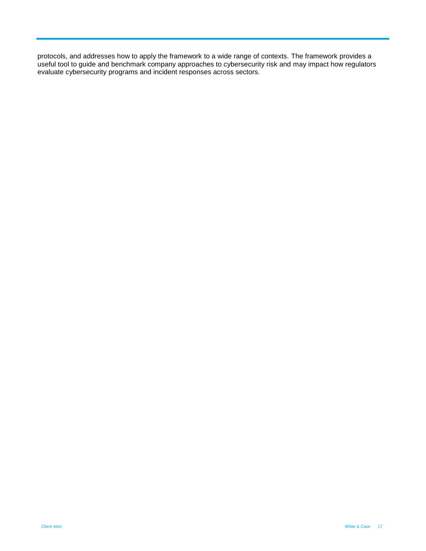protocols, and addresses how to apply the framework to a wide range of contexts. The framework provides a useful tool to guide and benchmark company approaches to cybersecurity risk and may impact how regulators evaluate cybersecurity programs and incident responses across sectors.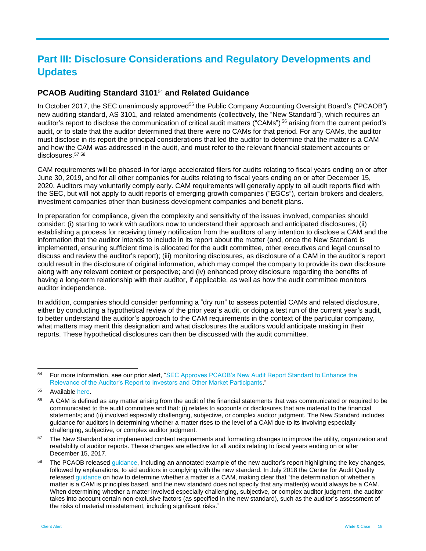# **Part III: Disclosure Considerations and Regulatory Developments and Updates**

# **PCAOB Auditing Standard 3101**<sup>54</sup> **and Related Guidance**

In October 2017, the SEC unanimously approved<sup>55</sup> the Public Company Accounting Oversight Board's ("PCAOB") new auditing standard, AS 3101, and related amendments (collectively, the "New Standard"), which requires an auditor's report to disclose the communication of critical audit matters ("CAMs")<sup>56</sup> arising from the current period's audit, or to state that the auditor determined that there were no CAMs for that period. For any CAMs, the auditor must disclose in its report the principal considerations that led the auditor to determine that the matter is a CAM and how the CAM was addressed in the audit, and must refer to the relevant financial statement accounts or disclosures. 57 58

CAM requirements will be phased-in for large accelerated filers for audits relating to fiscal years ending on or after June 30, 2019, and for all other companies for audits relating to fiscal years ending on or after December 15, 2020. Auditors may voluntarily comply early. CAM requirements will generally apply to all audit reports filed with the SEC, but will not apply to audit reports of emerging growth companies ("EGCs"), certain brokers and dealers, investment companies other than business development companies and benefit plans.

In preparation for compliance, given the complexity and sensitivity of the issues involved, companies should consider: (i) starting to work with auditors now to understand their approach and anticipated disclosures; (ii) establishing a process for receiving timely notification from the auditors of any intention to disclose a CAM and the information that the auditor intends to include in its report about the matter (and, once the New Standard is implemented, ensuring sufficient time is allocated for the audit committee, other executives and legal counsel to discuss and review the auditor's report); (iii) monitoring disclosures, as disclosure of a CAM in the auditor's report could result in the disclosure of original information, which may compel the company to provide its own disclosure along with any relevant context or perspective; and (iv) enhanced proxy disclosure regarding the benefits of having a long-term relationship with their auditor, if applicable, as well as how the audit committee monitors auditor independence.

In addition, companies should consider performing a "dry run" to assess potential CAMs and related disclosure, either by conducting a hypothetical review of the prior year's audit, or doing a test run of the current year's audit, to better understand the auditor's approach to the CAM requirements in the context of the particular company, what matters may merit this designation and what disclosures the auditors would anticipate making in their reports. These hypothetical disclosures can then be discussed with the audit committee.

 $54$ For more information, see our prior alert, "SEC Approves PCAOB's New Audit Report Standard to Enhance the [Relevance of the Auditor's Report to Investors and Other Market Participants.](https://www.whitecase.com/publications/alert/sec-approves-pcaobs-new-audit-report-standard-enhance-relevance-auditors-report?s=pcaob)"

<sup>55</sup> Available [here.](https://www.sec.gov/rules/pcaob/2017/34-81916.pdf)

<sup>&</sup>lt;sup>56</sup> A CAM is defined as any matter arising from the audit of the financial statements that was communicated or required to be communicated to the audit committee and that: (i) relates to accounts or disclosures that are material to the financial statements; and (ii) involved especially challenging, subjective, or complex auditor judgment. The New Standard includes guidance for auditors in determining whether a matter rises to the level of a CAM due to its involving especially challenging, subjective, or complex auditor judgment.

<sup>&</sup>lt;sup>57</sup> The New Standard also implemented content requirements and formatting changes to improve the utility, organization and readability of auditor reports. These changes are effective for all audits relating to fiscal years ending on or after December 15, 2017.

<sup>&</sup>lt;sup>58</sup> The PCAOB release[d guidance,](https://www.thecorporatecounsel.net/AccountingDisclosure/member/FAQ/AuditorReports/07_18_CAMs.pdf) including an annotated example of the new auditor's report highlighting the key changes, followed by explanations, to aid auditors in complying with the new standard. In July 2018 the Center for Audit Quality release[d guidance](https://www.thecorporatecounsel.net/AccountingDisclosure/member/FAQ/AuditorReports/07_18_CAMs.pdf) on how to determine whether a matter is a CAM, making clear that "the determination of whether a matter is a CAM is principles based, and the new standard does not specify that any matter(s) would always be a CAM. When determining whether a matter involved especially challenging, subjective, or complex auditor judgment, the auditor takes into account certain non-exclusive factors (as specified in the new standard), such as the auditor's assessment of the risks of material misstatement, including significant risks."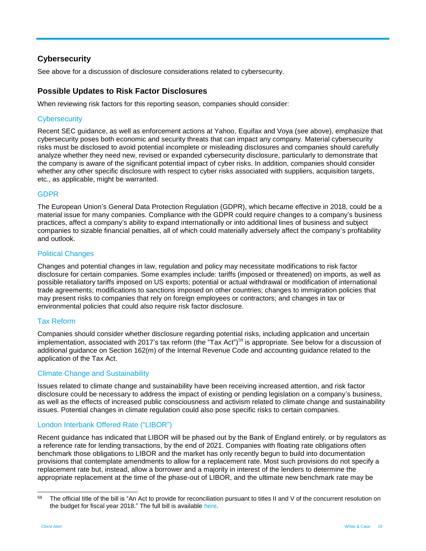# **Cybersecurity**

See above for a discussion of disclosure considerations related to cybersecurity.

# **Possible Updates to Risk Factor Disclosures**

When reviewing risk factors for this reporting season, companies should consider:

#### **Cybersecurity**

Recent SEC guidance, as well as enforcement actions at Yahoo, Equifax and Voya (see above), emphasize that cybersecurity poses both economic and security threats that can impact any company. Material cybersecurity risks must be disclosed to avoid potential incomplete or misleading disclosures and companies should carefully analyze whether they need new, revised or expanded cybersecurity disclosure, particularly to demonstrate that the company is aware of the significant potential impact of cyber risks. In addition, companies should consider whether any other specific disclosure with respect to cyber risks associated with suppliers, acquisition targets, etc., as applicable, might be warranted.

### GDPR

The European Union's General Data Protection Regulation (GDPR), which became effective in 2018, could be a material issue for many companies. Compliance with the GDPR could require changes to a company's business practices, affect a company's ability to expand internationally or into additional lines of business and subject companies to sizable financial penalties, all of which could materially adversely affect the company's profitability and outlook.

#### Political Changes

Changes and potential changes in law, regulation and policy may necessitate modifications to risk factor disclosure for certain companies. Some examples include: tariffs (imposed or threatened) on imports, as well as possible retaliatory tariffs imposed on US exports; potential or actual withdrawal or modification of international trade agreements; modifications to sanctions imposed on other countries; changes to immigration policies that may present risks to companies that rely on foreign employees or contractors; and changes in tax or environmental policies that could also require risk factor disclosure.

# Tax Reform

Companies should consider whether disclosure regarding potential risks, including application and uncertain implementation, associated with 2017's tax reform (the "Tax Act")<sup>59</sup> is appropriate. See below for a discussion of additional guidance on Section 162(m) of the Internal Revenue Code and accounting guidance related to the application of the Tax Act.

#### Climate Change and Sustainability

Issues related to climate change and sustainability have been receiving increased attention, and risk factor disclosure could be necessary to address the impact of existing or pending legislation on a company's business, as well as the effects of increased public consciousness and activism related to climate change and sustainability issues. Potential changes in climate regulation could also pose specific risks to certain companies.

# London Interbank Offered Rate ("LIBOR")

Recent guidance has indicated that LIBOR will be phased out by the Bank of England entirely, or by regulators as a reference rate for lending transactions, by the end of 2021. Companies with floating rate obligations often benchmark those obligations to LIBOR and the market has only recently begun to build into documentation provisions that contemplate amendments to allow for a replacement rate. Most such provisions do not specify a replacement rate but, instead, allow a borrower and a majority in interest of the lenders to determine the appropriate replacement at the time of the phase-out of LIBOR, and the ultimate new benchmark rate may be

<sup>59</sup> The official title of the bill is "An Act to provide for reconciliation pursuant to titles II and V of the concurrent resolution on the budget for fiscal year 2018." The full bill is available [here.](https://www.govtrack.us/congress/bills/115/hr1/text)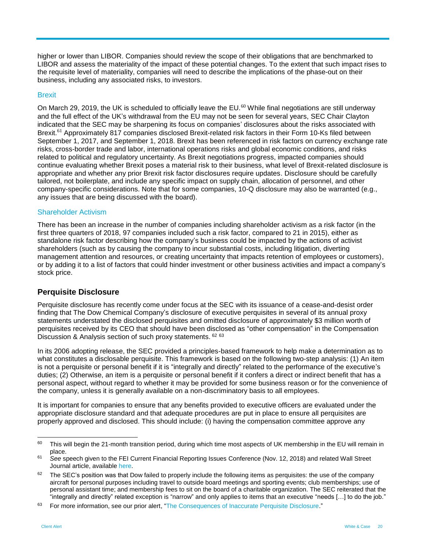higher or lower than LIBOR. Companies should review the scope of their obligations that are benchmarked to LIBOR and assess the materiality of the impact of these potential changes. To the extent that such impact rises to the requisite level of materiality, companies will need to describe the implications of the phase-out on their business, including any associated risks, to investors.

#### **Brexit**

On March 29, 2019, the UK is scheduled to officially leave the EU. $^{60}$  While final negotiations are still underway and the full effect of the UK's withdrawal from the EU may not be seen for several years, SEC Chair Clayton indicated that the SEC may be sharpening its focus on companies' disclosures about the risks associated with Brexit.<sup>61</sup> Approximately 817 companies disclosed Brexit-related risk factors in their Form 10-Ks filed between September 1, 2017, and September 1, 2018. Brexit has been referenced in risk factors on currency exchange rate risks, cross-border trade and labor, international operations risks and global economic conditions, and risks related to political and regulatory uncertainty. As Brexit negotiations progress, impacted companies should continue evaluating whether Brexit poses a material risk to their business, what level of Brexit-related disclosure is appropriate and whether any prior Brexit risk factor disclosures require updates. Disclosure should be carefully tailored, not boilerplate, and include any specific impact on supply chain, allocation of personnel, and other company-specific considerations. Note that for some companies, 10-Q disclosure may also be warranted (e.g., any issues that are being discussed with the board).

#### Shareholder Activism

There has been an increase in the number of companies including shareholder activism as a risk factor (in the first three quarters of 2018, 97 companies included such a risk factor, compared to 21 in 2015), either as standalone risk factor describing how the company's business could be impacted by the actions of activist shareholders (such as by causing the company to incur substantial costs, including litigation, diverting management attention and resources, or creating uncertainty that impacts retention of employees or customers), or by adding it to a list of factors that could hinder investment or other business activities and impact a company's stock price.

#### **Perquisite Disclosure**

Perquisite disclosure has recently come under focus at the SEC with its issuance of a cease-and-desist order finding that The Dow Chemical Company's disclosure of executive perquisites in several of its annual proxy statements understated the disclosed perquisites and omitted disclosure of approximately \$3 million worth of perquisites received by its CEO that should have been disclosed as "other compensation" in the Compensation Discussion & Analysis section of such proxy statements. <sup>62</sup> <sup>63</sup>

In its 2006 adopting release, the SEC provided a principles-based framework to help make a determination as to what constitutes a disclosable perquisite. This framework is based on the following two-step analysis: (1) An item is not a perquisite or personal benefit if it is "integrally and directly" related to the performance of the executive's duties; (2) Otherwise, an item is a perquisite or personal benefit if it confers a direct or indirect benefit that has a personal aspect, without regard to whether it may be provided for some business reason or for the convenience of the company, unless it is generally available on a non-discriminatory basis to all employees.

It is important for companies to ensure that any benefits provided to executive officers are evaluated under the appropriate disclosure standard and that adequate procedures are put in place to ensure all perquisites are properly approved and disclosed. This should include: (i) having the compensation committee approve any

<sup>60</sup> This will begin the 21-month transition period, during which time most aspects of UK membership in the EU will remain in place.

<sup>61</sup> *See* speech given to the FEI Current Financial Reporting Issues Conference (Nov. 12, 2018) and related Wall Street Journal article, availabl[e here.](https://www.wsj.com/articles/sec-calls-for-more-detailed-disclosure-on-brexit-impact-1542053079?mod=hp_minor_pos7)

 $62$  The SEC's position was that Dow failed to properly include the following items as perquisites: the use of the company aircraft for personal purposes including travel to outside board meetings and sporting events; club memberships; use of personal assistant time; and membership fees to sit on the board of a charitable organization. The SEC reiterated that the "integrally and directly" related exception is "narrow" and only applies to items that an executive "needs […] to do the job."

<sup>&</sup>lt;sup>63</sup> For more information, see our prior alert, ["The Consequences of Inaccurate Perquisite Disclosure.](https://www.whitecase.com/publications/alert/consequences-inaccurate-perquisite-disclosure)"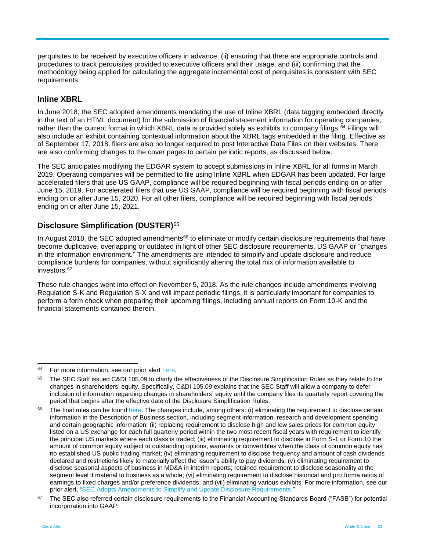perquisites to be received by executive officers in advance, (ii) ensuring that there are appropriate controls and procedures to track perquisites provided to executive officers and their usage, and (iii) confirming that the methodology being applied for calculating the aggregate incremental cost of perquisites is consistent with SEC requirements.

### **Inline XBRL**

In June 2018, the SEC adopted amendments mandating the use of Inline XBRL (data tagging embedded directly in the text of an HTML document) for the submission of financial statement information for operating companies, rather than the current format in which XBRL data is provided solely as exhibits to company filings.<sup>64</sup> Filings will also include an exhibit containing contextual information about the XBRL tags embedded in the filing. Effective as of September 17, 2018, filers are also no longer required to post Interactive Data Files on their websites. There are also conforming changes to the cover pages to certain periodic reports, as discussed below.

The SEC anticipates modifying the EDGAR system to accept submissions in Inline XBRL for all forms in March 2019. Operating companies will be permitted to file using Inline XBRL when EDGAR has been updated. For large accelerated filers that use US GAAP, compliance will be required beginning with fiscal periods ending on or after June 15, 2019. For accelerated filers that use US GAAP, compliance will be required beginning with fiscal periods ending on or after June 15, 2020. For all other filers, compliance will be required beginning with fiscal periods ending on or after June 15, 2021.

# **Disclosure Simplification (DUSTER)**<sup>65</sup>

In August 2018, the SEC adopted amendments<sup>66</sup> to eliminate or modify certain disclosure requirements that have become duplicative, overlapping or outdated in light of other SEC disclosure requirements, US GAAP or "changes in the information environment." The amendments are intended to simplify and update disclosure and reduce compliance burdens for companies, without significantly altering the total mix of information available to investors.<sup>67</sup>

These rule changes went into effect on November 5, 2018. As the rule changes include amendments involving Regulation S-K and Regulation S-X and will impact periodic filings, it is particularly important for companies to perform a form check when preparing their upcoming filings, including annual reports on Form 10-K and the financial statements contained therein.

 $\overline{a}$ 

<sup>&</sup>lt;sup>64</sup> For more information, see our prior alert [here.](https://www.whitecase.com/publications/alert/new-and-proposed-rules-smaller-reporting-companies-xbrl-and-whistleblower-program)

<sup>&</sup>lt;sup>65</sup> The SEC Staff issued C&DI 105.09 to clarify the effectiveness of the Disclosure Simplification Rules as they relate to the changes in shareholders' equity. Specifically, C&DI 105.09 explains that the SEC Staff will allow a company to defer inclusion of information regarding changes in shareholders' equity until the company files its quarterly report covering the period that begins after the effective date of the Disclosure Simplification Rules.

<sup>&</sup>lt;sup>66</sup> The final rules can be found [here.](https://www.sec.gov/rules/final/2018/33-10532.pdf) The changes include, among others: (i) eliminating the requirement to disclose certain information in the Description of Business section, including segment information, research and development spending and certain geographic information; (ii) replacing requirement to disclose high and low sales prices for common equity listed on a US exchange for each full quarterly period within the two most recent fiscal years with requirement to identify the principal US markets where each class is traded; (iii) eliminating requirement to disclose in Form S-1 or Form 10 the amount of common equity subject to outstanding options, warrants or convertibles when the class of common equity has no established US public trading market; (iv) eliminating requirement to disclose frequency and amount of cash dividends declared and restrictions likely to materially affect the issuer's ability to pay dividends; (v) eliminating requirement to disclose seasonal aspects of business in MD&A in interim reports; retained requirement to disclose seasonality at the segment level if material to business as a whole; (vi) eliminating requirement to disclose historical and pro forma ratios of earnings to fixed charges and/or preference dividends; and (vii) eliminating various exhibits. For more information, see our prior alert, ["SEC Adopts Amendments to Simplify and Update Disclosure Requirements.](https://www.whitecase.com/sites/whitecase/files/files/download/publications/sec-adopts-amendments-to-simplify-and-update-disclosure-requirements.pdf)"

<sup>&</sup>lt;sup>67</sup> The SEC also referred certain disclosure requirements to the Financial Accounting Standards Board ("FASB") for potential incorporation into GAAP.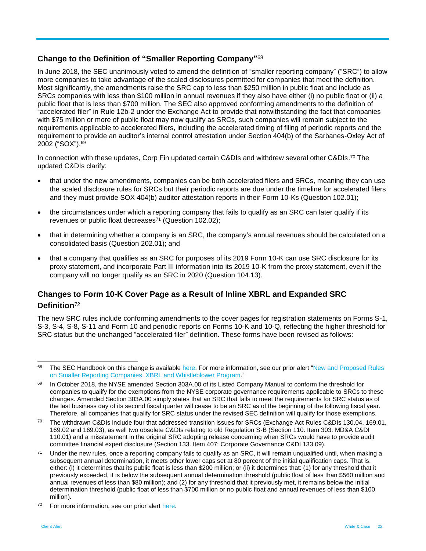# **Change to the Definition of "Smaller Reporting Company"** 68

In June 2018, the SEC unanimously voted to amend the definition of "smaller reporting company" ("SRC") to allow more companies to take advantage of the scaled disclosures permitted for companies that meet the definition. Most significantly, the amendments raise the SRC cap to less than \$250 million in public float and include as SRCs companies with less than \$100 million in annual revenues if they also have either (i) no public float or (ii) a public float that is less than \$700 million. The SEC also approved conforming amendments to the definition of "accelerated filer" in Rule 12b-2 under the Exchange Act to provide that notwithstanding the fact that companies with \$75 million or more of public float may now qualify as SRCs, such companies will remain subject to the requirements applicable to accelerated filers, including the accelerated timing of filing of periodic reports and the requirement to provide an auditor's internal control attestation under Section 404(b) of the Sarbanes-Oxley Act of 2002 ("SOX"). 69

In connection with these updates, Corp Fin updated certain C&DIs and withdrew several other C&DIs.<sup>70</sup> The updated C&DIs clarify:

- that under the new amendments, companies can be both accelerated filers and SRCs, meaning they can use the scaled disclosure rules for SRCs but their periodic reports are due under the timeline for accelerated filers and they must provide SOX 404(b) auditor attestation reports in their Form 10-Ks (Question 102.01);
- the circumstances under which a reporting company that fails to qualify as an SRC can later qualify if its revenues or public float decreases<sup>71</sup> (Question 102.02);
- that in determining whether a company is an SRC, the company's annual revenues should be calculated on a consolidated basis (Question 202.01); and
- that a company that qualifies as an SRC for purposes of its 2019 Form 10-K can use SRC disclosure for its proxy statement, and incorporate Part III information into its 2019 10-K from the proxy statement, even if the company will no longer qualify as an SRC in 2020 (Question 104.13).

# **Changes to Form 10-K Cover Page as a Result of Inline XBRL and Expanded SRC Definition**<sup>72</sup>

The new SRC rules include conforming amendments to the cover pages for registration statements on Forms S-1, S-3, S-4, S-8, S-11 and Form 10 and periodic reports on Forms 10-K and 10-Q, reflecting the higher threshold for SRC status but the unchanged "accelerated filer" definition. These forms have been revised as follows:

 $\overline{a}$ 

<sup>&</sup>lt;sup>68</sup> The SEC Handbook on this change is available [here.](https://www.sec.gov/corpfin/amendments-smaller-reporting-company-definition) For more information, see our prior alert "New and Proposed Rules [on Smaller Reporting Companies, XBRL and Whistleblower Program.](https://www.whitecase.com/publications/alert/new-and-proposed-rules-smaller-reporting-companies-xbrl-and-whistleblower-program)"

<sup>&</sup>lt;sup>69</sup> In October 2018, the NYSE amended Section 303A.00 of its Listed Company Manual to conform the threshold for companies to qualify for the exemptions from the NYSE corporate governance requirements applicable to SRCs to these changes. Amended Section 303A.00 simply states that an SRC that fails to meet the requirements for SRC status as of the last business day of its second fiscal quarter will cease to be an SRC as of the beginning of the following fiscal year. Therefore, all companies that qualify for SRC status under the revised SEC definition will qualify for those exemptions.

 $70$  The withdrawn C&DIs include four that addressed transition issues for SRCs (Exchange Act Rules C&DIs 130.04, 169.01, 169.02 and 169.03), as well two obsolete C&DIs relating to old Regulation S-B (Section 110. Item 303: MD&A C&DI 110.01) and a misstatement in the original SRC adopting release concerning when SRCs would have to provide audit committee financial expert disclosure (Section 133. Item 407: Corporate Governance C&DI 133.09).

<sup>&</sup>lt;sup>71</sup> Under the new rules, once a reporting company fails to qualify as an SRC, it will remain ungualified until, when making a subsequent annual determination, it meets other lower caps set at 80 percent of the initial qualification caps. That is, either: (i) it determines that its public float is less than \$200 million; or (ii) it determines that: (1) for any threshold that it previously exceeded, it is below the subsequent annual determination threshold (public float of less than \$560 million and annual revenues of less than \$80 million); and (2) for any threshold that it previously met, it remains below the initial determination threshold (public float of less than \$700 million or no public float and annual revenues of less than \$100 million).

<sup>&</sup>lt;sup>72</sup> For more information, see our prior alert [here.](https://www.whitecase.com/publications/alert/new-and-proposed-rules-smaller-reporting-companies-xbrl-and-whistleblower-program)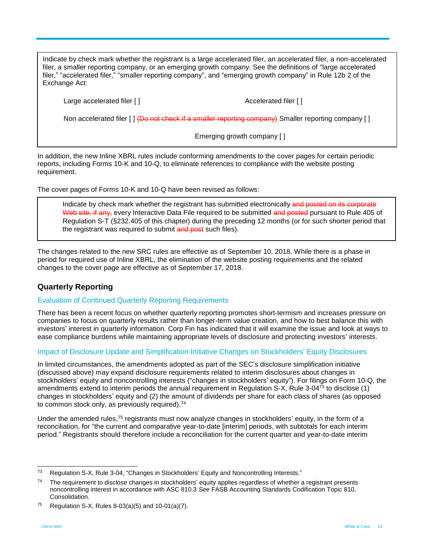Indicate by check mark whether the registrant is a large accelerated filer, an accelerated filer, a non-accelerated filer, a smaller reporting company, or an emerging growth company. See the definitions of "large accelerated filer," "accelerated filer," "smaller reporting company", and "emerging growth company" in Rule 12b 2 of the Exchange Act:

Large accelerated filer [ ]  $\qquad \qquad$  Accelerated filer [ ]

Non accelerated filer [ ] (Do not check if a smaller reporting company) Smaller reporting company [ ]

Emerging growth company [ ]

In addition, the new Inline XBRL rules include conforming amendments to the cover pages for certain periodic reports, including Forms 10-K and 10-Q, to eliminate references to compliance with the website posting requirement.

The cover pages of Forms 10-K and 10-Q have been revised as follows:

Indicate by check mark whether the registrant has submitted electronically and posted on its corporate Web site, if any, every Interactive Data File required to be submitted and posted pursuant to Rule 405 of Regulation S-T (§232.405 of this chapter) during the preceding 12 months (or for such shorter period that the registrant was required to submit and post such files).

The changes related to the new SRC rules are effective as of September 10, 2018. While there is a phase in period for required use of Inline XBRL, the elimination of the website posting requirements and the related changes to the cover page are effective as of September 17, 2018.

# **Quarterly Reporting**

#### Evaluation of Continued Quarterly Reporting Requirements

There has been a recent focus on whether quarterly reporting promotes short-termism and increases pressure on companies to focus on quarterly results rather than longer-term value creation, and how to best balance this with investors' interest in quarterly information. Corp Fin has indicated that it will examine the issue and look at ways to ease compliance burdens while maintaining appropriate levels of disclosure and protecting investors' interests.

#### Impact of Disclosure Update and Simplification Initiative Changes on Stockholders' Equity Disclosures

In limited circumstances, the amendments adopted as part of the SEC's disclosure simplification initiative (discussed above) may expand disclosure requirements related to interim disclosures about changes in stockholders' equity and noncontrolling interests ("changes in stockholders' equity"). For filings on Form 10-Q, the amendments extend to interim periods the annual requirement in Regulation S-X, Rule 3-04<sup>73</sup> to disclose (1) changes in stockholders' equity and (2) the amount of dividends per share for each class of shares (as opposed to common stock only, as previously required).<sup>74</sup>

Under the amended rules,<sup>75</sup> registrants must now analyze changes in stockholders' equity, in the form of a reconciliation, for "the current and comparative year-to-date [interim] periods, with subtotals for each interim period." Registrants should therefore include a reconciliation for the current quarter and year-to-date interim

<sup>&</sup>lt;sup>73</sup> Regulation S-X, Rule 3-04, "Changes in Stockholders' Equity and Noncontrolling Interests."

<sup>&</sup>lt;sup>74</sup> The requirement to disclose changes in stockholders' equity applies regardless of whether a registrant presents noncontrolling interest in accordance with ASC 810.3 *See* FASB Accounting Standards Codification Topic 810, Consolidation.

<sup>75</sup> Regulation S-X, Rules 8-03(a)(5) and  $10-01(a)(7)$ .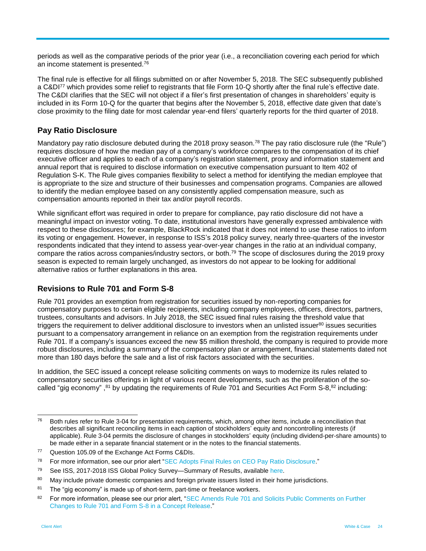periods as well as the comparative periods of the prior year (i.e., a reconciliation covering each period for which an income statement is presented. 76

The final rule is effective for all filings submitted on or after November 5, 2018. The SEC subsequently published a C&DI<sup>77</sup> which provides some relief to registrants that file Form 10-Q shortly after the final rule's effective date. The C&DI clarifies that the SEC will not object if a filer's first presentation of changes in shareholders' equity is included in its Form 10-Q for the quarter that begins after the November 5, 2018, effective date given that date's close proximity to the filing date for most calendar year-end filers' quarterly reports for the third quarter of 2018.

### **Pay Ratio Disclosure**

Mandatory pay ratio disclosure debuted during the 2018 proxy season.<sup>78</sup> The pay ratio disclosure rule (the "Rule") requires disclosure of how the median pay of a company's workforce compares to the compensation of its chief executive officer and applies to each of a company's registration statement, proxy and information statement and annual report that is required to disclose information on executive compensation pursuant to Item 402 of Regulation S-K. The Rule gives companies flexibility to select a method for identifying the median employee that is appropriate to the size and structure of their businesses and compensation programs. Companies are allowed to identify the median employee based on any consistently applied compensation measure, such as compensation amounts reported in their tax and/or payroll records.

While significant effort was required in order to prepare for compliance, pay ratio disclosure did not have a meaningful impact on investor voting. To date, institutional investors have generally expressed ambivalence with respect to these disclosures; for example, BlackRock indicated that it does not intend to use these ratios to inform its voting or engagement. However, in response to ISS's 2018 policy survey, nearly three-quarters of the investor respondents indicated that they intend to assess year-over-year changes in the ratio at an individual company, compare the ratios across companies/industry sectors, or both.<sup>79</sup> The scope of disclosures during the 2019 proxy season is expected to remain largely unchanged, as investors do not appear to be looking for additional alternative ratios or further explanations in this area.

#### **Revisions to Rule 701 and Form S-8**

Rule 701 provides an exemption from registration for securities issued by non-reporting companies for compensatory purposes to certain eligible recipients, including company employees, officers, directors, partners, trustees, consultants and advisors. In July 2018, the SEC issued final rules raising the threshold value that triggers the requirement to deliver additional disclosure to investors when an unlisted issuer $80$  issues securities pursuant to a compensatory arrangement in reliance on an exemption from the registration requirements under Rule 701. If a company's issuances exceed the new \$5 million threshold, the company is required to provide more robust disclosures, including a summary of the compensatory plan or arrangement, financial statements dated not more than 180 days before the sale and a list of risk factors associated with the securities.

In addition, the SEC issued a concept release soliciting comments on ways to modernize its rules related to compensatory securities offerings in light of various recent developments, such as the proliferation of the socalled "gig economy", <sup>81</sup> by updating the requirements of Rule 701 and Securities Act Form S-8, <sup>82</sup> including:

<sup>76</sup> <sup>76</sup> Both rules refer to Rule 3-04 for presentation requirements, which, among other items, include a reconciliation that describes all significant reconciling items in each caption of stockholders' equity and noncontrolling interests (if applicable). Rule 3-04 permits the disclosure of changes in stockholders' equity (including dividend-per-share amounts) to be made either in a separate financial statement or in the notes to the financial statements.

<sup>77</sup> Question 105.09 of the Exchange Act Forms C&DIs.

<sup>&</sup>lt;sup>78</sup> For more information, see our prior alert ["SEC Adopts Final Rules on CEO Pay Ratio Disclosure.](https://www.whitecase.com/sites/whitecase/files/files/download/publications/alert-sec-adopts-final-rules-on-ceo-pay-ratio-disclosure.pdf)"

<sup>&</sup>lt;sup>79</sup> See ISS, 2017-2018 ISS Global Policy Survey—Summary of Results, available [here.](https://www.issgovernance.com/file/policy/2017-2018-iss-policy-survey-results-report.pdf)

<sup>80</sup> May include private domestic companies and foreign private issuers listed in their home jurisdictions.

 $81$  The "gig economy" is made up of short-term, part-time or freelance workers.

<sup>82</sup> For more information, please see our prior alert, "SEC Amends Rule 701 and Solicits Public Comments on Further [Changes to Rule 701 and Form S-8 in a Concept Release.](https://www.whitecase.com/publications/alert/sec-amends-rule-701-and-solicits-public-comments-further-changes-rule-701-and)"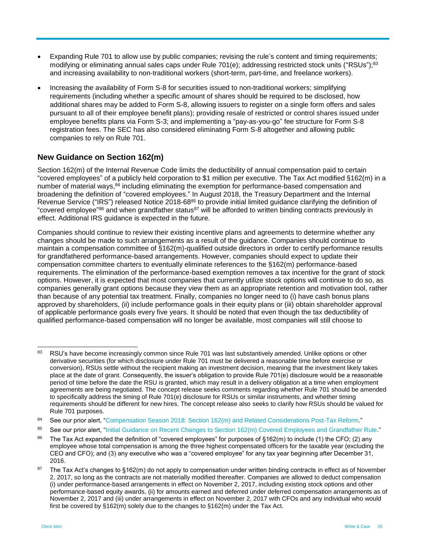- Expanding Rule 701 to allow use by public companies; revising the rule's content and timing requirements; modifying or eliminating annual sales caps under Rule 701(e); addressing restricted stock units ("RSUs");<sup>83</sup> and increasing availability to non-traditional workers (short-term, part-time, and freelance workers).
- Increasing the availability of Form S-8 for securities issued to non-traditional workers; simplifying requirements (including whether a specific amount of shares should be required to be disclosed, how additional shares may be added to Form S-8, allowing issuers to register on a single form offers and sales pursuant to all of their employee benefit plans); providing resale of restricted or control shares issued under employee benefits plans via Form S-3; and implementing a "pay-as-you-go" fee structure for Form S-8 registration fees. The SEC has also considered eliminating Form S-8 altogether and allowing public companies to rely on Rule 701.

# **New Guidance on Section 162(m)**

Section 162(m) of the Internal Revenue Code limits the deductibility of annual compensation paid to certain "covered employees" of a publicly held corporation to \$1 million per executive. The Tax Act modified §162(m) in a number of material ways,<sup>84</sup> including eliminating the exemption for performance-based compensation and broadening the definition of "covered employees." In August 2018, the Treasury Department and the Internal Revenue Service ("IRS") released Notice 2018-68<sup>85</sup> to provide initial limited guidance clarifying the definition of "covered employee"<sup>86</sup> and when grandfather status<sup>87</sup> will be afforded to written binding contracts previously in effect. Additional IRS guidance is expected in the future.

Companies should continue to review their existing incentive plans and agreements to determine whether any changes should be made to such arrangements as a result of the guidance. Companies should continue to maintain a compensation committee of §162(m)-qualified outside directors in order to certify performance results for grandfathered performance-based arrangements. However, companies should expect to update their compensation committee charters to eventually eliminate references to the §162(m) performance-based requirements. The elimination of the performance-based exemption removes a tax incentive for the grant of stock options. However, it is expected that most companies that currently utilize stock options will continue to do so, as companies generally grant options because they view them as an appropriate retention and motivation tool, rather than because of any potential tax treatment. Finally, companies no longer need to (i) have cash bonus plans approved by shareholders, (ii) include performance goals in their equity plans or (iii) obtain shareholder approval of applicable performance goals every five years. It should be noted that even though the tax deductibility of qualified performance-based compensation will no longer be available, most companies will still choose to

 $\overline{a}$ 

<sup>83</sup> RSU's have become increasingly common since Rule 701 was last substantively amended. Unlike options or other derivative securities (for which disclosure under Rule 701 must be delivered a reasonable time before exercise or conversion), RSUs settle without the recipient making an investment decision, meaning that the investment likely takes place at the date of grant. Consequently, the issuer's obligation to provide Rule 701(e) disclosure would be a reasonable period of time before the date the RSU is granted, which may result in a delivery obligation at a time when employment agreements are being negotiated. The concept release seeks comments regarding whether Rule 701 should be amended to specifically address the timing of Rule 701(e) disclosure for RSUs or similar instruments, and whether timing requirements should be different for new hires. The concept release also seeks to clarify how RSUs should be valued for Rule 701 purposes.

<sup>84</sup> See our prior alert, "Compensation Season 2018: [Section 162\(m\) and Related Considerations Post-Tax Reform.](https://www.whitecase.com/publications/alert/compensation-season-2018-section-162m-and-related-considerations-post-tax-reform)"

<sup>85</sup> See our prior alert, ["Initial Guidance on Recent Changes to Section 162\(m\) Covered Employees and Grandfather Rule.](https://www.whitecase.com/publications/alert/initial-guidance-recent-changes-section-162m-covered-employees-and-grandfather)"

<sup>&</sup>lt;sup>86</sup> The Tax Act expanded the definition of "covered employees" for purposes of §162(m) to include (1) the CFO; (2) any employee whose total compensation is among the three highest compensated officers for the taxable year (excluding the CEO and CFO); and (3) any executive who was a "covered employee" for any tax year beginning after December 31, 2016.

The Tax Act's changes to §162(m) do not apply to compensation under written binding contracts in effect as of November 2, 2017, so long as the contracts are not materially modified thereafter. Companies are allowed to deduct compensation (i) under performance-based arrangements in effect on November 2, 2017, including existing stock options and other performance-based equity awards, (ii) for amounts earned and deferred under deferred compensation arrangements as of November 2, 2017 and (iii) under arrangements in effect on November 2, 2017 with CFOs and any individual who would first be covered by §162(m) solely due to the changes to §162(m) under the Tax Act.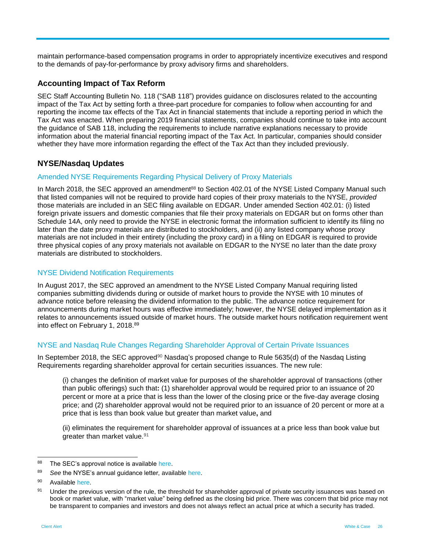maintain performance-based compensation programs in order to appropriately incentivize executives and respond to the demands of pay-for-performance by proxy advisory firms and shareholders.

### **Accounting Impact of Tax Reform**

SEC Staff Accounting Bulletin No. 118 ("SAB 118") provides guidance on disclosures related to the accounting impact of the Tax Act by setting forth a three-part procedure for companies to follow when accounting for and reporting the income tax effects of the Tax Act in financial statements that include a reporting period in which the Tax Act was enacted. When preparing 2019 financial statements, companies should continue to take into account the guidance of SAB 118, including the requirements to include narrative explanations necessary to provide information about the material financial reporting impact of the Tax Act. In particular, companies should consider whether they have more information regarding the effect of the Tax Act than they included previously.

# **NYSE/Nasdaq Updates**

#### Amended NYSE Requirements Regarding Physical Delivery of Proxy Materials

In March 2018, the SEC approved an amendment<sup>88</sup> to Section 402.01 of the NYSE Listed Company Manual such that listed companies will not be required to provide hard copies of their proxy materials to the NYSE, *provided* those materials are included in an SEC filing available on EDGAR. Under amended Section 402.01: (i) listed foreign private issuers and domestic companies that file their proxy materials on EDGAR but on forms other than Schedule 14A, only need to provide the NYSE in electronic format the information sufficient to identify its filing no later than the date proxy materials are distributed to stockholders, and (ii) any listed company whose proxy materials are not included in their entirety (including the proxy card) in a filing on EDGAR is required to provide three physical copies of any proxy materials not available on EDGAR to the NYSE no later than the date proxy materials are distributed to stockholders.

#### NYSE Dividend Notification Requirements

In August 2017, the SEC approved an amendment to the NYSE Listed Company Manual requiring listed companies submitting dividends during or outside of market hours to provide the NYSE with 10 minutes of advance notice before releasing the dividend information to the public. The advance notice requirement for announcements during market hours was effective immediately; however, the NYSE delayed implementation as it relates to announcements issued outside of market hours. The outside market hours notification requirement went into effect on February 1, 2018. 89

#### NYSE and Nasdaq Rule Changes Regarding Shareholder Approval of Certain Private Issuances

In September 2018, the SEC approved<sup>90</sup> Nasdaq's proposed change to Rule 5635(d) of the Nasdaq Listing Requirements regarding shareholder approval for certain securities issuances. The new rule:

(i) changes the definition of market value for purposes of the shareholder approval of transactions (other than public offerings) such that**:** (1) shareholder approval would be required prior to an issuance of 20 percent or more at a price that is less than the lower of the closing price or the five-day average closing price; and (2) shareholder approval would not be required prior to an issuance of 20 percent or more at a price that is less than book value but greater than market value**,** and

(ii) eliminates the requirement for shareholder approval of issuances at a price less than book value but greater than market value.<sup>91</sup>

<sup>88</sup> The SEC's approval notice is available [here.](https://www.nyse.com/publicdocs/nyse/regulation/nyse/NYSE_2018_Annual_Guidance_Letter.pdf)

<sup>89</sup> *See* the NYSE's annual guidance letter, available [here.](https://www.nyse.com/publicdocs/nyse/regulation/nyse/NYSE_2018_Annual_Guidance_Letter.pdf)

<sup>90</sup> Availabl[e here.](https://www.sec.gov/rules/sro/nasdaq/2018/34-84287.pdf)

<sup>91</sup> Under the previous version of the rule, the threshold for shareholder approval of private security issuances was based on book or market value, with "market value" being defined as the closing bid price. There was concern that bid price may not be transparent to companies and investors and does not always reflect an actual price at which a security has traded.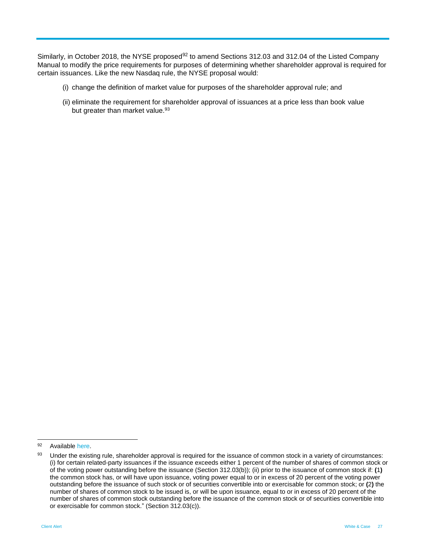Similarly, in October 2018, the NYSE proposed<sup>92</sup> to amend Sections 312.03 and 312.04 of the Listed Company Manual to modify the price requirements for purposes of determining whether shareholder approval is required for certain issuances. Like the new Nasdaq rule, the NYSE proposal would:

- (i) change the definition of market value for purposes of the shareholder approval rule; and
- (ii) eliminate the requirement for shareholder approval of issuances at a price less than book value but greater than market value.<sup>93</sup>

 $\overline{a}$ 

<sup>92</sup> Availabl[e here.](https://www.nyse.com/publicdocs/nyse/markets/nyse/rule-filings/filings/2018/NYSE-2018-54.pdf)

<sup>93</sup> Under the existing rule, shareholder approval is required for the issuance of common stock in a variety of circumstances: (i) for certain related-party issuances if the issuance exceeds either 1 percent of the number of shares of common stock or of the voting power outstanding before the issuance (Section 312.03(b)); (ii) prior to the issuance of common stock if: **(**1**)**  the common stock has, or will have upon issuance, voting power equal to or in excess of 20 percent of the voting power outstanding before the issuance of such stock or of securities convertible into or exercisable for common stock; or **(**2**)** the number of shares of common stock to be issued is, or will be upon issuance, equal to or in excess of 20 percent of the number of shares of common stock outstanding before the issuance of the common stock or of securities convertible into or exercisable for common stock." (Section 312.03(c)).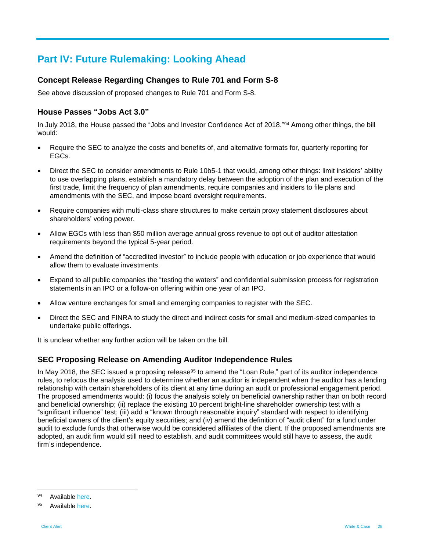# **Part IV: Future Rulemaking: Looking Ahead**

# **Concept Release Regarding Changes to Rule 701 and Form S-8**

See above discussion of proposed changes to Rule 701 and Form S-8.

# **House Passes "Jobs Act 3.0"**

In July 2018, the House passed the "Jobs and Investor Confidence Act of 2018."<sup>94</sup> Among other things, the bill would:

- Require the SEC to analyze the costs and benefits of, and alternative formats for, quarterly reporting for EGCs.
- Direct the SEC to consider amendments to Rule 10b5-1 that would, among other things: limit insiders' ability to use overlapping plans, establish a mandatory delay between the adoption of the plan and execution of the first trade, limit the frequency of plan amendments, require companies and insiders to file plans and amendments with the SEC, and impose board oversight requirements.
- Require companies with multi-class share structures to make certain proxy statement disclosures about shareholders' voting power.
- Allow EGCs with less than \$50 million average annual gross revenue to opt out of auditor attestation requirements beyond the typical 5-year period.
- Amend the definition of "accredited investor" to include people with education or job experience that would allow them to evaluate investments.
- Expand to all public companies the "testing the waters" and confidential submission process for registration statements in an IPO or a follow-on offering within one year of an IPO.
- Allow venture exchanges for small and emerging companies to register with the SEC.
- Direct the SEC and FINRA to study the direct and indirect costs for small and medium-sized companies to undertake public offerings.

It is unclear whether any further action will be taken on the bill.

# **SEC Proposing Release on Amending Auditor Independence Rules**

In May 2018, the SEC issued a proposing release<sup>95</sup> to amend the "Loan Rule," part of its auditor independence rules, to refocus the analysis used to determine whether an auditor is independent when the auditor has a lending relationship with certain shareholders of its client at any time during an audit or professional engagement period. The proposed amendments would: (i) focus the analysis solely on beneficial ownership rather than on both record and beneficial ownership; (ii) replace the existing 10 percent bright-line shareholder ownership test with a "significant influence" test; (iii) add a "known through reasonable inquiry" standard with respect to identifying beneficial owners of the client's equity securities; and (iv) amend the definition of "audit client" for a fund under audit to exclude funds that otherwise would be considered affiliates of the client. If the proposed amendments are adopted, an audit firm would still need to establish, and audit committees would still have to assess, the audit firm's independence.

<sup>94</sup> Availabl[e here.](https://docs.house.gov/billsthisweek/20180716/S488.pdf)

<sup>95</sup> Availabl[e here.](https://www.sec.gov/rules/proposed/2018/33-10491.pdf)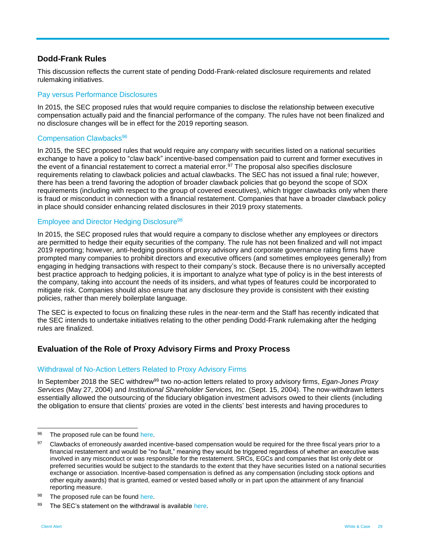### **Dodd-Frank Rules**

This discussion reflects the current state of pending Dodd-Frank-related disclosure requirements and related rulemaking initiatives.

#### Pay versus Performance Disclosures

In 2015, the SEC proposed rules that would require companies to disclose the relationship between executive compensation actually paid and the financial performance of the company. The rules have not been finalized and no disclosure changes will be in effect for the 2019 reporting season.

#### Compensation Clawbacks<sup>96</sup>

In 2015, the SEC proposed rules that would require any company with securities listed on a national securities exchange to have a policy to "claw back" incentive-based compensation paid to current and former executives in the event of a financial restatement to correct a material error.<sup>97</sup> The proposal also specifies disclosure requirements relating to clawback policies and actual clawbacks. The SEC has not issued a final rule; however, there has been a trend favoring the adoption of broader clawback policies that go beyond the scope of SOX requirements (including with respect to the group of covered executives), which trigger clawbacks only when there is fraud or misconduct in connection with a financial restatement. Companies that have a broader clawback policy in place should consider enhancing related disclosures in their 2019 proxy statements.

#### Employee and Director Hedging Disclosure 98

In 2015, the SEC proposed rules that would require a company to disclose whether any employees or directors are permitted to hedge their equity securities of the company. The rule has not been finalized and will not impact 2019 reporting; however, anti-hedging positions of proxy advisory and corporate governance rating firms have prompted many companies to prohibit directors and executive officers (and sometimes employees generally) from engaging in hedging transactions with respect to their company's stock. Because there is no universally accepted best practice approach to hedging policies, it is important to analyze what type of policy is in the best interests of the company, taking into account the needs of its insiders, and what types of features could be incorporated to mitigate risk. Companies should also ensure that any disclosure they provide is consistent with their existing policies, rather than merely boilerplate language.

The SEC is expected to focus on finalizing these rules in the near-term and the Staff has recently indicated that the SEC intends to undertake initiatives relating to the other pending Dodd-Frank rulemaking after the hedging rules are finalized.

# **Evaluation of the Role of Proxy Advisory Firms and Proxy Process**

#### Withdrawal of No-Action Letters Related to Proxy Advisory Firms

In September 2018 the SEC withdrew<sup>99</sup> two no-action letters related to proxy advisory firms, *Egan-Jones Proxy Services* (May 27, 2004) and *Institutional Shareholder Services, Inc.* (Sept. 15, 2004). The now-withdrawn letters essentially allowed the outsourcing of the fiduciary obligation investment advisors owed to their clients (including the obligation to ensure that clients' proxies are voted in the clients' best interests and having procedures to

<sup>96</sup> The proposed rule can be found [here.](https://www.sec.gov/rules/proposed/2015/33-9861.pdf)

<sup>97</sup> Clawbacks of erroneously awarded incentive-based compensation would be required for the three fiscal years prior to a financial restatement and would be "no fault," meaning they would be triggered regardless of whether an executive was involved in any misconduct or was responsible for the restatement. SRCs, EGCs and companies that list only debt or preferred securities would be subject to the standards to the extent that they have securities listed on a national securities exchange or association. Incentive-based compensation is defined as any compensation (including stock options and other equity awards) that is granted, earned or vested based wholly or in part upon the attainment of any financial reporting measure.

<sup>98</sup> The proposed rule can be found [here.](https://www.sec.gov/rules/proposed/2015/33-9723.pdf)

 $99$  The SEC's statement on the withdrawal is available [here.](https://www.sec.gov/news/public-statement/statement-regarding-staff-proxy-advisory-letters)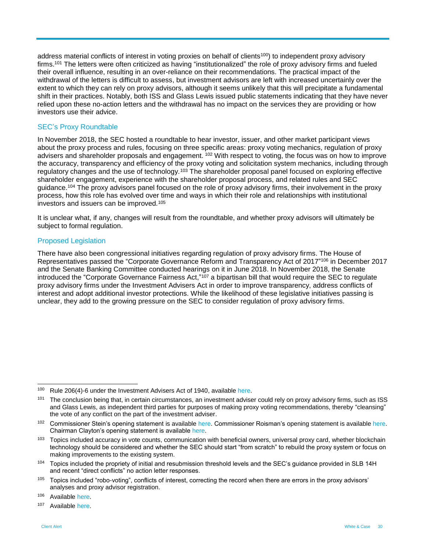address material conflicts of interest in voting proxies on behalf of clients<sup>100</sup>) to independent proxy advisorv firms. <sup>101</sup> The letters were often criticized as having "institutionalized" the role of proxy advisory firms and fueled their overall influence, resulting in an over-reliance on their recommendations. The practical impact of the withdrawal of the letters is difficult to assess, but investment advisors are left with increased uncertainly over the extent to which they can rely on proxy advisors, although it seems unlikely that this will precipitate a fundamental shift in their practices. Notably, both ISS and Glass Lewis issued public statements indicating that they have never relied upon these no-action letters and the withdrawal has no impact on the services they are providing or how investors use their advice.

#### SEC's Proxy Roundtable

In November 2018, the SEC hosted a roundtable to hear investor, issuer, and other market participant views about the proxy process and rules, focusing on three specific areas: proxy voting mechanics, regulation of proxy advisers and shareholder proposals and engagement. <sup>102</sup> With respect to voting, the focus was on how to improve the accuracy, transparency and efficiency of the proxy voting and solicitation system mechanics, including through regulatory changes and the use of technology.<sup>103</sup> The shareholder proposal panel focused on exploring effective shareholder engagement, experience with the shareholder proposal process, and related rules and SEC guidance.<sup>104</sup> The proxy advisors panel focused on the role of proxy advisory firms, their involvement in the proxy process, how this role has evolved over time and ways in which their role and relationships with institutional investors and issuers can be improved.<sup>105</sup>

It is unclear what, if any, changes will result from the roundtable, and whether proxy advisors will ultimately be subject to formal regulation.

#### Proposed Legislation

There have also been congressional initiatives regarding regulation of proxy advisory firms. The House of Representatives passed the "Corporate Governance Reform and Transparency Act of 2017" <sup>106</sup> in December 2017 and the Senate Banking Committee conducted hearings on it in June 2018. In November 2018, the Senate introduced the "Corporate Governance Fairness Act,"<sup>107</sup> a bipartisan bill that would require the SEC to regulate proxy advisory firms under the Investment Advisers Act in order to improve transparency, address conflicts of interest and adopt additional investor protections. While the likelihood of these legislative initiatives passing is unclear, they add to the growing pressure on the SEC to consider regulation of proxy advisory firms.

<sup>&</sup>lt;sup>100</sup> Rule 206(4)-6 under the Investment Advisers Act of 1940, available [here.](https://www.gpo.gov/fdsys/pkg/CFR-2016-title17-vol4/pdf/CFR-2016-title17-vol4-sec275-2064-6.pdf)

<sup>&</sup>lt;sup>101</sup> The conclusion being that, in certain circumstances, an investment adviser could rely on proxy advisory firms, such as ISS and Glass Lewis, as independent third parties for purposes of making proxy voting recommendations, thereby "cleansing" the vote of any conflict on the part of the investment adviser.

<sup>102</sup> Commissioner Stein's opening statement is available [here.](https://www.sec.gov/news/public-statement/statement-roisman-111518) Commissioner Roisman's opening statement is available here. Chairman Clayton's opening statement is available [here.](https://www.sec.gov/news/public-statement/statement-clayton-110718)

<sup>&</sup>lt;sup>103</sup> Topics included accuracy in vote counts, communication with beneficial owners, universal proxy card, whether blockchain technology should be considered and whether the SEC should start "from scratch" to rebuild the proxy system or focus on making improvements to the existing system.

<sup>104</sup> Topics included the propriety of initial and resubmission threshold levels and the SEC's guidance provided in SLB 14H and recent "direct conflicts" no action letter responses.

<sup>105</sup> Topics included "robo-voting", conflicts of interest, correcting the record when there are errors in the proxy advisors' analyses and proxy advisor registration.

<sup>106</sup> Availabl[e here.](https://www.congress.gov/bill/115th-congress/house-bill/4015/text?q=%7B%22search%22%3A%5B%22corporate+governance+reform+and+transparency+act%22%5D%7D&r=1)

<sup>107</sup> Availabl[e here.](https://www.reed.senate.gov/news/releases/as-sec-evaluates-proxy-process-us-senators-introduce-corporate-governance-fairness-act)